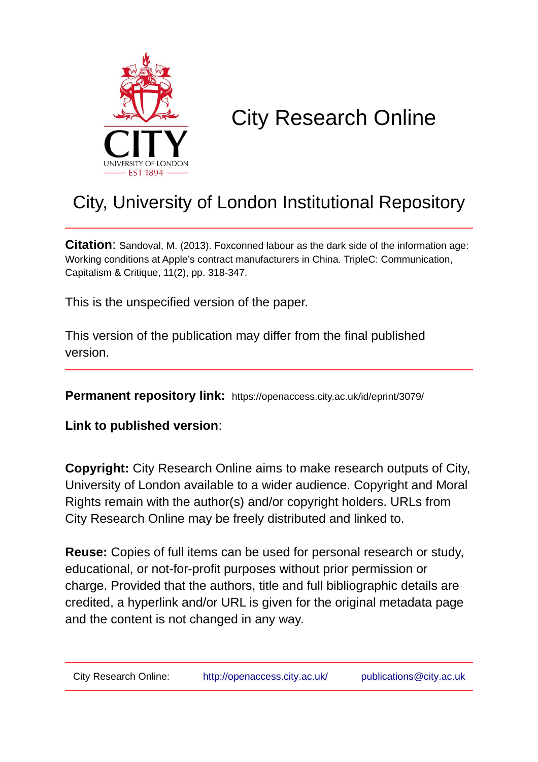

# City Research Online

# City, University of London Institutional Repository

**Citation**: Sandoval, M. (2013). Foxconned labour as the dark side of the information age: Working conditions at Apple's contract manufacturers in China. TripleC: Communication, Capitalism & Critique, 11(2), pp. 318-347.

This is the unspecified version of the paper.

This version of the publication may differ from the final published version.

**Permanent repository link:** https://openaccess.city.ac.uk/id/eprint/3079/

**Link to published version**:

**Copyright:** City Research Online aims to make research outputs of City, University of London available to a wider audience. Copyright and Moral Rights remain with the author(s) and/or copyright holders. URLs from City Research Online may be freely distributed and linked to.

**Reuse:** Copies of full items can be used for personal research or study, educational, or not-for-profit purposes without prior permission or charge. Provided that the authors, title and full bibliographic details are credited, a hyperlink and/or URL is given for the original metadata page and the content is not changed in any way.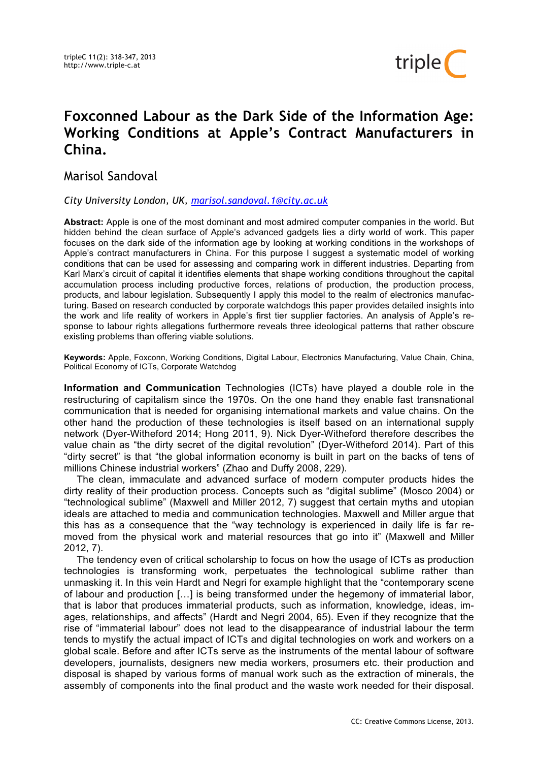

# **Foxconned Labour as the Dark Side of the Information Age: Working Conditions at Apple's Contract Manufacturers in China.**

Marisol Sandoval

*City University London, UK, marisol.sandoval.1@city.ac.uk*

**Abstract:** Apple is one of the most dominant and most admired computer companies in the world. But hidden behind the clean surface of Apple's advanced gadgets lies a dirty world of work. This paper focuses on the dark side of the information age by looking at working conditions in the workshops of Apple's contract manufacturers in China. For this purpose I suggest a systematic model of working conditions that can be used for assessing and comparing work in different industries. Departing from Karl Marx's circuit of capital it identifies elements that shape working conditions throughout the capital accumulation process including productive forces, relations of production, the production process, products, and labour legislation. Subsequently I apply this model to the realm of electronics manufacturing. Based on research conducted by corporate watchdogs this paper provides detailed insights into the work and life reality of workers in Apple's first tier supplier factories. An analysis of Apple's response to labour rights allegations furthermore reveals three ideological patterns that rather obscure existing problems than offering viable solutions.

**Keywords:** Apple, Foxconn, Working Conditions, Digital Labour, Electronics Manufacturing, Value Chain, China, Political Economy of ICTs, Corporate Watchdog

**Information and Communication** Technologies (ICTs) have played a double role in the restructuring of capitalism since the 1970s. On the one hand they enable fast transnational communication that is needed for organising international markets and value chains. On the other hand the production of these technologies is itself based on an international supply network (Dyer-Witheford 2014; Hong 2011, 9). Nick Dyer-Witheford therefore describes the value chain as "the dirty secret of the digital revolution" (Dyer-Witheford 2014). Part of this "dirty secret" is that "the global information economy is built in part on the backs of tens of millions Chinese industrial workers" (Zhao and Duffy 2008, 229).

The clean, immaculate and advanced surface of modern computer products hides the dirty reality of their production process. Concepts such as "digital sublime" (Mosco 2004) or "technological sublime" (Maxwell and Miller 2012, 7) suggest that certain myths and utopian ideals are attached to media and communication technologies. Maxwell and Miller argue that this has as a consequence that the "way technology is experienced in daily life is far removed from the physical work and material resources that go into it" (Maxwell and Miller 2012, 7).

The tendency even of critical scholarship to focus on how the usage of ICTs as production technologies is transforming work, perpetuates the technological sublime rather than unmasking it. In this vein Hardt and Negri for example highlight that the "contemporary scene of labour and production […] is being transformed under the hegemony of immaterial labor, that is labor that produces immaterial products, such as information, knowledge, ideas, images, relationships, and affects" (Hardt and Negri 2004, 65). Even if they recognize that the rise of "immaterial labour" does not lead to the disappearance of industrial labour the term tends to mystify the actual impact of ICTs and digital technologies on work and workers on a global scale. Before and after ICTs serve as the instruments of the mental labour of software developers, journalists, designers new media workers, prosumers etc. their production and disposal is shaped by various forms of manual work such as the extraction of minerals, the assembly of components into the final product and the waste work needed for their disposal.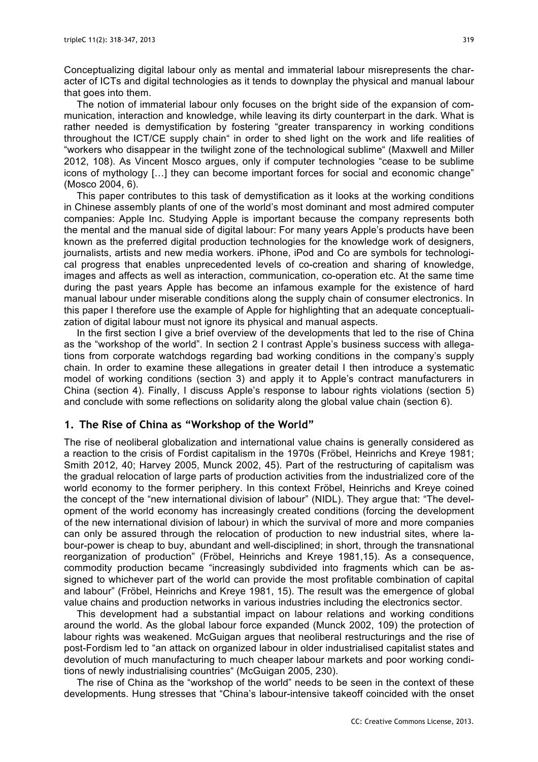Conceptualizing digital labour only as mental and immaterial labour misrepresents the character of ICTs and digital technologies as it tends to downplay the physical and manual labour that goes into them.

The notion of immaterial labour only focuses on the bright side of the expansion of communication, interaction and knowledge, while leaving its dirty counterpart in the dark. What is rather needed is demystification by fostering "greater transparency in working conditions throughout the ICT/CE supply chain" in order to shed light on the work and life realities of "workers who disappear in the twilight zone of the technological sublime" (Maxwell and Miller 2012, 108). As Vincent Mosco argues, only if computer technologies "cease to be sublime icons of mythology […] they can become important forces for social and economic change" (Mosco 2004, 6).

This paper contributes to this task of demystification as it looks at the working conditions in Chinese assembly plants of one of the world's most dominant and most admired computer companies: Apple Inc. Studying Apple is important because the company represents both the mental and the manual side of digital labour: For many years Apple's products have been known as the preferred digital production technologies for the knowledge work of designers, journalists, artists and new media workers. iPhone, iPod and Co are symbols for technological progress that enables unprecedented levels of co-creation and sharing of knowledge, images and affects as well as interaction, communication, co-operation etc. At the same time during the past years Apple has become an infamous example for the existence of hard manual labour under miserable conditions along the supply chain of consumer electronics. In this paper I therefore use the example of Apple for highlighting that an adequate conceptualization of digital labour must not ignore its physical and manual aspects.

In the first section I give a brief overview of the developments that led to the rise of China as the "workshop of the world". In section 2 I contrast Apple's business success with allegations from corporate watchdogs regarding bad working conditions in the company's supply chain. In order to examine these allegations in greater detail I then introduce a systematic model of working conditions (section 3) and apply it to Apple's contract manufacturers in China (section 4). Finally, I discuss Apple's response to labour rights violations (section 5) and conclude with some reflections on solidarity along the global value chain (section 6).

# **1. The Rise of China as "Workshop of the World"**

The rise of neoliberal globalization and international value chains is generally considered as a reaction to the crisis of Fordist capitalism in the 1970s (Fröbel, Heinrichs and Kreye 1981; Smith 2012, 40; Harvey 2005, Munck 2002, 45). Part of the restructuring of capitalism was the gradual relocation of large parts of production activities from the industrialized core of the world economy to the former periphery. In this context Fröbel, Heinrichs and Kreye coined the concept of the "new international division of labour" (NIDL). They argue that: "The development of the world economy has increasingly created conditions (forcing the development of the new international division of labour) in which the survival of more and more companies can only be assured through the relocation of production to new industrial sites, where labour-power is cheap to buy, abundant and well-disciplined; in short, through the transnational reorganization of production" (Fröbel, Heinrichs and Kreye 1981,15). As a consequence, commodity production became "increasingly subdivided into fragments which can be assigned to whichever part of the world can provide the most profitable combination of capital and labour" (Fröbel, Heinrichs and Kreye 1981, 15). The result was the emergence of global value chains and production networks in various industries including the electronics sector.

This development had a substantial impact on labour relations and working conditions around the world. As the global labour force expanded (Munck 2002, 109) the protection of labour rights was weakened. McGuigan argues that neoliberal restructurings and the rise of post-Fordism led to "an attack on organized labour in older industrialised capitalist states and devolution of much manufacturing to much cheaper labour markets and poor working conditions of newly industrialising countries" (McGuigan 2005, 230).

The rise of China as the "workshop of the world" needs to be seen in the context of these developments. Hung stresses that "China's labour-intensive takeoff coincided with the onset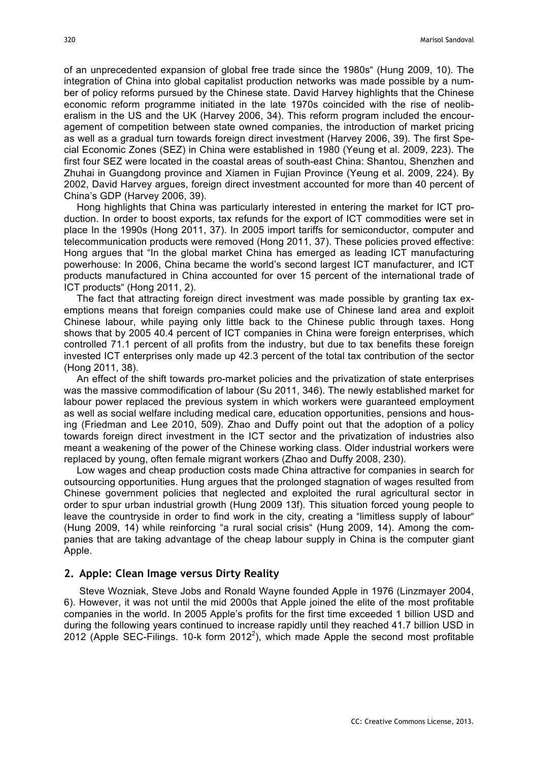of an unprecedented expansion of global free trade since the 1980s" (Hung 2009, 10). The integration of China into global capitalist production networks was made possible by a number of policy reforms pursued by the Chinese state. David Harvey highlights that the Chinese economic reform programme initiated in the late 1970s coincided with the rise of neoliberalism in the US and the UK (Harvey 2006, 34). This reform program included the encouragement of competition between state owned companies, the introduction of market pricing as well as a gradual turn towards foreign direct investment (Harvey 2006, 39). The first Special Economic Zones (SEZ) in China were established in 1980 (Yeung et al. 2009, 223). The first four SEZ were located in the coastal areas of south-east China: Shantou, Shenzhen and Zhuhai in Guangdong province and Xiamen in Fujian Province (Yeung et al. 2009, 224). By 2002, David Harvey argues, foreign direct investment accounted for more than 40 percent of China's GDP (Harvey 2006, 39).

Hong highlights that China was particularly interested in entering the market for ICT production. In order to boost exports, tax refunds for the export of ICT commodities were set in place In the 1990s (Hong 2011, 37). In 2005 import tariffs for semiconductor, computer and telecommunication products were removed (Hong 2011, 37). These policies proved effective: Hong argues that "In the global market China has emerged as leading ICT manufacturing powerhouse: In 2006, China became the world's second largest ICT manufacturer, and ICT products manufactured in China accounted for over 15 percent of the international trade of ICT products" (Hong 2011, 2).

The fact that attracting foreign direct investment was made possible by granting tax exemptions means that foreign companies could make use of Chinese land area and exploit Chinese labour, while paying only little back to the Chinese public through taxes. Hong shows that by 2005 40.4 percent of ICT companies in China were foreign enterprises, which controlled 71.1 percent of all profits from the industry, but due to tax benefits these foreign invested ICT enterprises only made up 42.3 percent of the total tax contribution of the sector (Hong 2011, 38).

An effect of the shift towards pro-market policies and the privatization of state enterprises was the massive commodification of labour (Su 2011, 346). The newly established market for labour power replaced the previous system in which workers were guaranteed employment as well as social welfare including medical care, education opportunities, pensions and housing (Friedman and Lee 2010, 509). Zhao and Duffy point out that the adoption of a policy towards foreign direct investment in the ICT sector and the privatization of industries also meant a weakening of the power of the Chinese working class. Older industrial workers were replaced by young, often female migrant workers (Zhao and Duffy 2008, 230).

Low wages and cheap production costs made China attractive for companies in search for outsourcing opportunities. Hung argues that the prolonged stagnation of wages resulted from Chinese government policies that neglected and exploited the rural agricultural sector in order to spur urban industrial growth (Hung 2009 13f). This situation forced young people to leave the countryside in order to find work in the city, creating a "limitless supply of labour" (Hung 2009, 14) while reinforcing "a rural social crisis" (Hung 2009, 14). Among the companies that are taking advantage of the cheap labour supply in China is the computer giant Apple.

#### **2. Apple: Clean Image versus Dirty Reality**

Steve Wozniak, Steve Jobs and Ronald Wayne founded Apple in 1976 (Linzmayer 2004, 6). However, it was not until the mid 2000s that Apple joined the elite of the most profitable companies in the world. In 2005 Apple's profits for the first time exceeded 1 billion USD and during the following years continued to increase rapidly until they reached 41.7 billion USD in 2012 (Apple SEC-Filings. 10-k form 2012<sup>2</sup>), which made Apple the second most profitable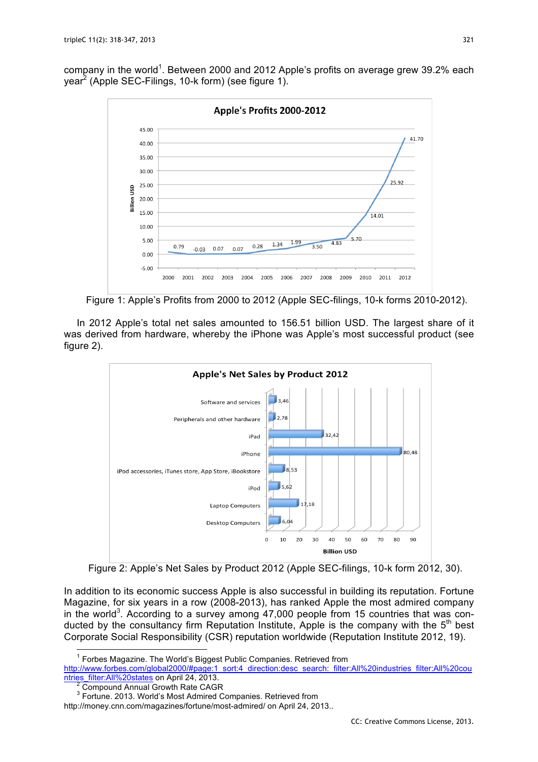company in the world<sup>1</sup>. Between 2000 and 2012 Apple's profits on average grew 39.2% each year<sup>2</sup> (Apple SEC-Filings, 10-k form) (see figure 1).



Figure 1: Apple's Profits from 2000 to 2012 (Apple SEC-filings, 10-k forms 2010-2012).

In 2012 Apple's total net sales amounted to 156.51 billion USD. The largest share of it was derived from hardware, whereby the iPhone was Apple's most successful product (see figure 2).



Figure 2: Apple's Net Sales by Product 2012 (Apple SEC-filings, 10-k form 2012, 30).

In addition to its economic success Apple is also successful in building its reputation. Fortune Magazine, for six years in a row (2008-2013), has ranked Apple the most admired company in the world<sup>3</sup>. According to a survey among  $47,000$  people from 15 countries that was conducted by the consultancy firm Reputation Institute, Apple is the company with the  $5<sup>th</sup>$  best Corporate Social Responsibility (CSR) reputation worldwide (Reputation Institute 2012, 19).

 $\frac{1}{1}$ Forbes Magazine. The World's Biggest Public Companies. Retrieved from

http://www.forbes.com/global2000/#page:1\_sort:4\_direction:desc\_search:\_filter:All%20industries\_filter:All%20cou ntries\_filter:All%20states on April 24, 2013.

Compound Annual Growth Rate CAGR

<sup>&</sup>lt;sup>3</sup> Fortune. 2013. World's Most Admired Companies. Retrieved from

http://money.cnn.com/magazines/fortune/most-admired/ on April 24, 2013..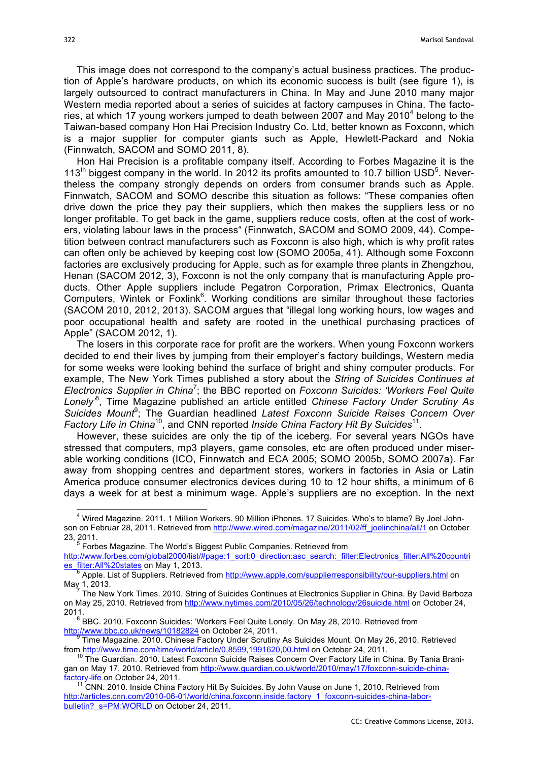This image does not correspond to the company's actual business practices. The production of Apple's hardware products, on which its economic success is built (see figure 1), is largely outsourced to contract manufacturers in China. In May and June 2010 many major Western media reported about a series of suicides at factory campuses in China. The factories, at which 17 young workers jumped to death between 2007 and May 2010<sup>4</sup> belong to the Taiwan-based company Hon Hai Precision Industry Co. Ltd, better known as Foxconn, which is a major supplier for computer giants such as Apple, Hewlett-Packard and Nokia (Finnwatch, SACOM and SOMO 2011, 8).

Hon Hai Precision is a profitable company itself. According to Forbes Magazine it is the 113<sup>th</sup> biggest company in the world. In 2012 its profits amounted to 10.7 billion USD<sup>5</sup>. Nevertheless the company strongly depends on orders from consumer brands such as Apple. Finnwatch, SACOM and SOMO describe this situation as follows: "These companies often drive down the price they pay their suppliers, which then makes the suppliers less or no longer profitable. To get back in the game, suppliers reduce costs, often at the cost of workers, violating labour laws in the process" (Finnwatch, SACOM and SOMO 2009, 44). Competition between contract manufacturers such as Foxconn is also high, which is why profit rates can often only be achieved by keeping cost low (SOMO 2005a, 41). Although some Foxconn factories are exclusively producing for Apple, such as for example three plants in Zhengzhou, Henan (SACOM 2012, 3), Foxconn is not the only company that is manufacturing Apple products. Other Apple suppliers include Pegatron Corporation, Primax Electronics, Quanta Computers, Wintek or Foxlink<sup>6</sup>. Working conditions are similar throughout these factories (SACOM 2010, 2012, 2013). SACOM argues that "illegal long working hours, low wages and poor occupational health and safety are rooted in the unethical purchasing practices of Apple" (SACOM 2012, 1).

The losers in this corporate race for profit are the workers. When young Foxconn workers decided to end their lives by jumping from their employer's factory buildings, Western media for some weeks were looking behind the surface of bright and shiny computer products. For example, The New York Times published a story about the *String of Suicides Continues at Electronics Supplier in China*<sup>7</sup> ; the BBC reported on *Foxconn Suicides: 'Workers Feel Quite Lonely'* 8 , Time Magazine published an article entitled *Chinese Factory Under Scrutiny As*  Suicides Mount<sup>9</sup>; The Guardian headlined Latest Foxconn Suicide Raises Concern Over *Factory Life in China<sup>10</sup>*, and CNN reported *Inside China Factory Hit By Suicides*<sup>11</sup>.

However, these suicides are only the tip of the iceberg. For several years NGOs have stressed that computers, mp3 players, game consoles, etc are often produced under miserable working conditions (ICO, Finnwatch and ECA 2005; SOMO 2005b, SOMO 2007a). Far away from shopping centres and department stores, workers in factories in Asia or Latin America produce consumer electronics devices during 10 to 12 hour shifts, a minimum of 6 days a week for at best a minimum wage. Apple's suppliers are no exception. In the next

 <sup>4</sup> Wired Magazine. 2011. 1 Million Workers. 90 Million iPhones. 17 Suicides. Who's to blame? By Joel Johnson on Februar 28, 2011. Retrieved from http://www.wired.com/magazine/2011/02/ff\_joelinchina/all/1 on October 23, 2011. <sup>5</sup>

Forbes Magazine. The World's Biggest Public Companies. Retrieved from

http://www.forbes.com/global2000/list/#page:1\_sort:0\_direction:asc\_search:\_filter:Electronics\_filter:All%20countri es\_filter:All%20states on May 1, 2013.

Apple. List of Suppliers. Retrieved from http://www.apple.com/supplierresponsibility/our-suppliers.html on May 1, 2013. 7

The New York Times. 2010. String of Suicides Continues at Electronics Supplier in China. By David Barboza on May 25, 2010. Retrieved from http://www.nytimes.com/2010/05/26/technology/26suicide.html on October 24,

<sup>2011.</sup> <sup>8</sup> BBC. 2010. Foxconn Suicides: 'Workers Feel Quite Lonely. On May 28, 2010. Retrieved from http://www.bbc.co.uk/news/10182824 on October 24, 2011.

<sup>&</sup>lt;sup>9</sup> Time Magazine. 2010. Chinese Factory Under Scrutiny As Suicides Mount. On May 26, 2010. Retrieved from http://www.time.com/time/world/article/0.8599.1991620.00.html on October 24, 2011.

<sup>&</sup>lt;sup>10</sup> The Guardian. 2010. Latest Foxconn Suicide Raises Concern Over Factory Life in China. By Tania Branigan on May 17, 2010. Retrieved from http://www.guardian.co.uk/world/2010/may/17/foxconn-suicide-chinafactory-life on October 24, 2011.<br><sup>11</sup> CNN. 2010. Inside China Factory Hit By Suicides. By John Vause on June 1, 2010. Retrieved from

http://articles.cnn.com/2010-06-01/world/china.foxconn.inside.factory\_1\_foxconn-suicides-china-laborbulletin? s=PM:WORLD on October 24, 2011.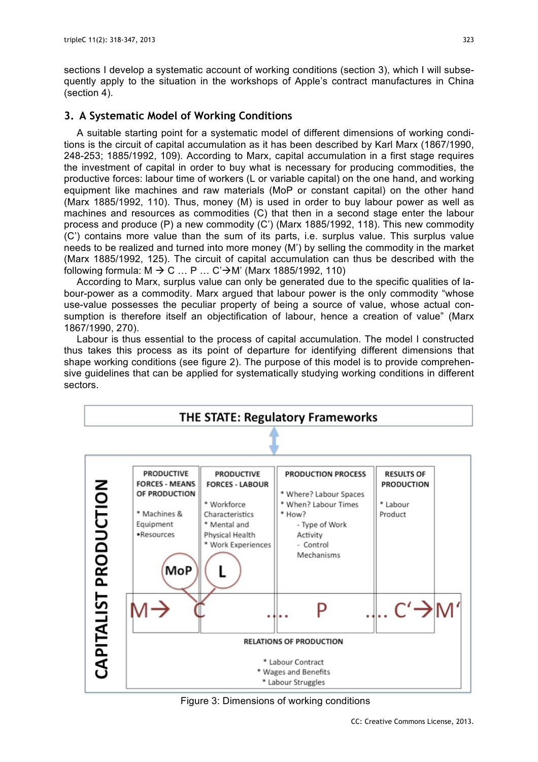sections I develop a systematic account of working conditions (section 3), which I will subsequently apply to the situation in the workshops of Apple's contract manufactures in China (section 4).

# **3. A Systematic Model of Working Conditions**

A suitable starting point for a systematic model of different dimensions of working conditions is the circuit of capital accumulation as it has been described by Karl Marx (1867/1990, 248-253; 1885/1992, 109). According to Marx, capital accumulation in a first stage requires the investment of capital in order to buy what is necessary for producing commodities, the productive forces: labour time of workers (L or variable capital) on the one hand, and working equipment like machines and raw materials (MoP or constant capital) on the other hand (Marx 1885/1992, 110). Thus, money (M) is used in order to buy labour power as well as machines and resources as commodities (C) that then in a second stage enter the labour process and produce (P) a new commodity (C') (Marx 1885/1992, 118). This new commodity (C') contains more value than the sum of its parts, i.e. surplus value. This surplus value needs to be realized and turned into more money (M') by selling the commodity in the market (Marx 1885/1992, 125). The circuit of capital accumulation can thus be described with the following formula:  $M \rightarrow C ... P ... C' \rightarrow M'$  (Marx 1885/1992, 110)

According to Marx, surplus value can only be generated due to the specific qualities of labour-power as a commodity. Marx argued that labour power is the only commodity "whose use-value possesses the peculiar property of being a source of value, whose actual consumption is therefore itself an objectification of labour, hence a creation of value" (Marx 1867/1990, 270).

Labour is thus essential to the process of capital accumulation. The model I constructed thus takes this process as its point of departure for identifying different dimensions that shape working conditions (see figure 2). The purpose of this model is to provide comprehensive guidelines that can be applied for systematically studying working conditions in different sectors.



Figure 3: Dimensions of working conditions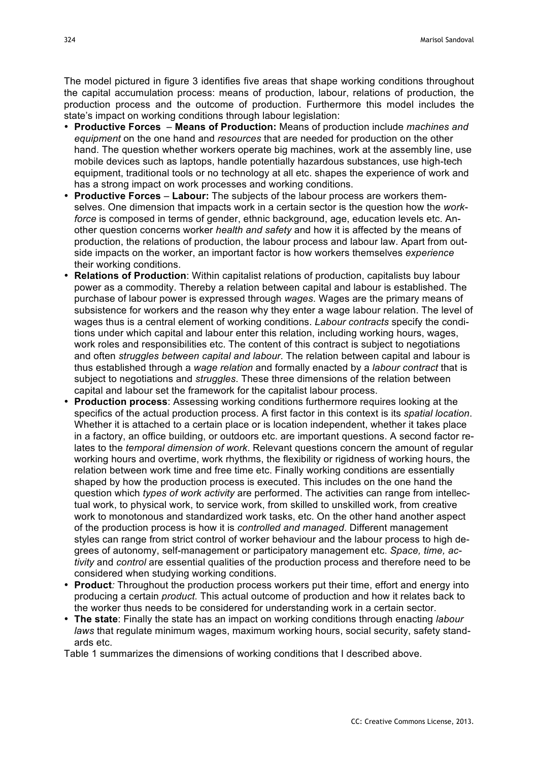The model pictured in figure 3 identifies five areas that shape working conditions throughout the capital accumulation process: means of production, labour, relations of production, the production process and the outcome of production. Furthermore this model includes the state's impact on working conditions through labour legislation:

- **Productive Forces Means of Production:** Means of production include *machines and equipment* on the one hand and *resources* that are needed for production on the other hand. The question whether workers operate big machines, work at the assembly line, use mobile devices such as laptops, handle potentially hazardous substances, use high-tech equipment, traditional tools or no technology at all etc. shapes the experience of work and has a strong impact on work processes and working conditions.
- **Productive Forces Labour:** The subjects of the labour process are workers themselves. One dimension that impacts work in a certain sector is the question how the *workforce* is composed in terms of gender, ethnic background, age, education levels etc. Another question concerns worker *health and safety* and how it is affected by the means of production, the relations of production, the labour process and labour law. Apart from outside impacts on the worker, an important factor is how workers themselves *experience* their working conditions.
- **Relations of Production**: Within capitalist relations of production, capitalists buy labour power as a commodity. Thereby a relation between capital and labour is established. The purchase of labour power is expressed through *wages*. Wages are the primary means of subsistence for workers and the reason why they enter a wage labour relation. The level of wages thus is a central element of working conditions. *Labour contracts* specify the conditions under which capital and labour enter this relation, including working hours, wages, work roles and responsibilities etc. The content of this contract is subject to negotiations and often *struggles between capital and labour*. The relation between capital and labour is thus established through a *wage relation* and formally enacted by a *labour contract* that is subject to negotiations and *struggles*. These three dimensions of the relation between capital and labour set the framework for the capitalist labour process.
- **Production process**: Assessing working conditions furthermore requires looking at the specifics of the actual production process. A first factor in this context is its *spatial location*. Whether it is attached to a certain place or is location independent, whether it takes place in a factory, an office building, or outdoors etc. are important questions. A second factor relates to the *temporal dimension of work*. Relevant questions concern the amount of regular working hours and overtime, work rhythms, the flexibility or rigidness of working hours, the relation between work time and free time etc. Finally working conditions are essentially shaped by how the production process is executed. This includes on the one hand the question which *types of work activity* are performed. The activities can range from intellectual work, to physical work, to service work, from skilled to unskilled work, from creative work to monotonous and standardized work tasks, etc. On the other hand another aspect of the production process is how it is *controlled and managed*. Different management styles can range from strict control of worker behaviour and the labour process to high degrees of autonomy, self-management or participatory management etc. *Space, time, activity* and *control* are essential qualities of the production process and therefore need to be considered when studying working conditions.
- **Product***:* Throughout the production process workers put their time, effort and energy into producing a certain *product.* This actual outcome of production and how it relates back to the worker thus needs to be considered for understanding work in a certain sector.
- **The state**: Finally the state has an impact on working conditions through enacting *labour laws* that regulate minimum wages, maximum working hours, social security, safety standards etc.

Table 1 summarizes the dimensions of working conditions that I described above.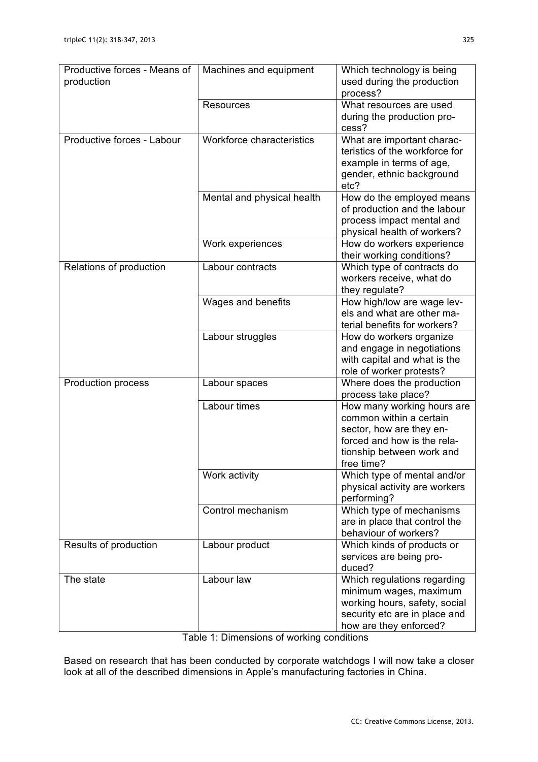| Productive forces - Means of<br>production | Machines and equipment     | Which technology is being<br>used during the production<br>process?                                                                                         |
|--------------------------------------------|----------------------------|-------------------------------------------------------------------------------------------------------------------------------------------------------------|
|                                            | <b>Resources</b>           | What resources are used<br>during the production pro-<br>cess?                                                                                              |
| Productive forces - Labour                 | Workforce characteristics  | What are important charac-<br>teristics of the workforce for<br>example in terms of age,<br>gender, ethnic background<br>etc?                               |
|                                            | Mental and physical health | How do the employed means<br>of production and the labour<br>process impact mental and<br>physical health of workers?                                       |
|                                            | Work experiences           | How do workers experience<br>their working conditions?                                                                                                      |
| Relations of production                    | Labour contracts           | Which type of contracts do<br>workers receive, what do<br>they regulate?                                                                                    |
|                                            | Wages and benefits         | How high/low are wage lev-<br>els and what are other ma-<br>terial benefits for workers?                                                                    |
|                                            | Labour struggles           | How do workers organize<br>and engage in negotiations<br>with capital and what is the<br>role of worker protests?                                           |
| Production process                         | Labour spaces              | Where does the production<br>process take place?                                                                                                            |
|                                            | Labour times               | How many working hours are<br>common within a certain<br>sector, how are they en-<br>forced and how is the rela-<br>tionship between work and<br>free time? |
|                                            | Work activity              | Which type of mental and/or<br>physical activity are workers<br>performing?                                                                                 |
|                                            | Control mechanism          | Which type of mechanisms<br>are in place that control the<br>behaviour of workers?                                                                          |
| Results of production                      | Labour product             | Which kinds of products or<br>services are being pro-<br>duced?                                                                                             |
| The state                                  | Labour law                 | Which regulations regarding<br>minimum wages, maximum<br>working hours, safety, social<br>security etc are in place and<br>how are they enforced?           |

|  | Table 1: Dimensions of working conditions |  |  |
|--|-------------------------------------------|--|--|
|--|-------------------------------------------|--|--|

Based on research that has been conducted by corporate watchdogs I will now take a closer look at all of the described dimensions in Apple's manufacturing factories in China.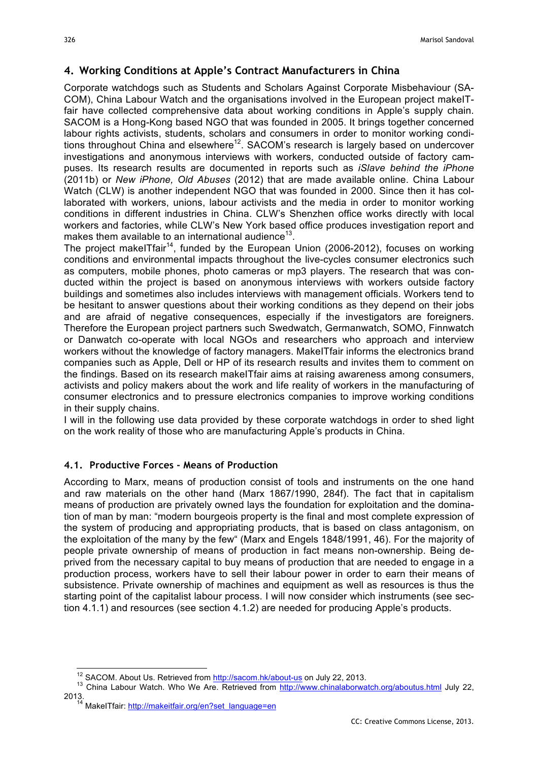# **4. Working Conditions at Apple's Contract Manufacturers in China**

Corporate watchdogs such as Students and Scholars Against Corporate Misbehaviour (SA-COM), China Labour Watch and the organisations involved in the European project makeITfair have collected comprehensive data about working conditions in Apple's supply chain. SACOM is a Hong-Kong based NGO that was founded in 2005. It brings together concerned labour rights activists, students, scholars and consumers in order to monitor working conditions throughout China and elsewhere<sup>12</sup>. SACOM's research is largely based on undercover investigations and anonymous interviews with workers, conducted outside of factory campuses. Its research results are documented in reports such as *iSlave behind the iPhone* (2011b) or *New iPhone, Old Abuses* (2012) that are made available online. China Labour Watch (CLW) is another independent NGO that was founded in 2000. Since then it has collaborated with workers, unions, labour activists and the media in order to monitor working conditions in different industries in China. CLW's Shenzhen office works directly with local workers and factories, while CLW's New York based office produces investigation report and makes them available to an international audience<sup>13</sup>.

The project makeITfair<sup>14</sup>, funded by the European Union (2006-2012), focuses on working conditions and environmental impacts throughout the live-cycles consumer electronics such as computers, mobile phones, photo cameras or mp3 players. The research that was conducted within the project is based on anonymous interviews with workers outside factory buildings and sometimes also includes interviews with management officials. Workers tend to be hesitant to answer questions about their working conditions as they depend on their jobs and are afraid of negative consequences, especially if the investigators are foreigners. Therefore the European project partners such Swedwatch, Germanwatch, SOMO, Finnwatch or Danwatch co-operate with local NGOs and researchers who approach and interview workers without the knowledge of factory managers. MakeITfair informs the electronics brand companies such as Apple, Dell or HP of its research results and invites them to comment on the findings. Based on its research makeITfair aims at raising awareness among consumers, activists and policy makers about the work and life reality of workers in the manufacturing of consumer electronics and to pressure electronics companies to improve working conditions in their supply chains.

I will in the following use data provided by these corporate watchdogs in order to shed light on the work reality of those who are manufacturing Apple's products in China.

# **4.1. Productive Forces - Means of Production**

According to Marx, means of production consist of tools and instruments on the one hand and raw materials on the other hand (Marx 1867/1990, 284f). The fact that in capitalism means of production are privately owned lays the foundation for exploitation and the domination of man by man: "modern bourgeois property is the final and most complete expression of the system of producing and appropriating products, that is based on class antagonism, on the exploitation of the many by the few" (Marx and Engels 1848/1991, 46). For the majority of people private ownership of means of production in fact means non-ownership. Being deprived from the necessary capital to buy means of production that are needed to engage in a production process, workers have to sell their labour power in order to earn their means of subsistence. Private ownership of machines and equipment as well as resources is thus the starting point of the capitalist labour process. I will now consider which instruments (see section 4.1.1) and resources (see section 4.1.2) are needed for producing Apple's products.

<sup>&</sup>lt;sup>12</sup> SACOM. About Us. Retrieved from <u>http://sacom.hk/about-us</u> on July 22, 2013.<br><sup>13</sup> China Labour Watch. Who We Are. Retrieved from <u>http://www.chinalaborwatch.org/aboutus.html</u> July 22, 2013. 14 MakeITfair: http://makeitfair.org/en?set\_language=en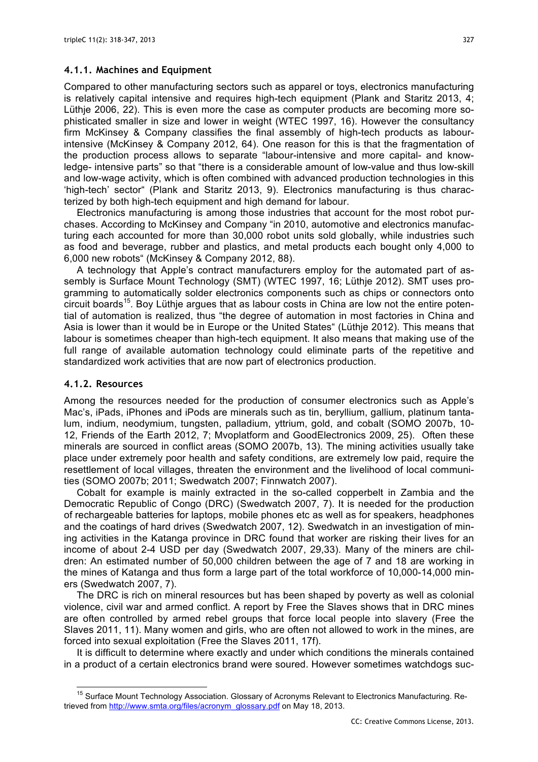#### **4.1.1. Machines and Equipment**

Compared to other manufacturing sectors such as apparel or toys, electronics manufacturing is relatively capital intensive and requires high-tech equipment (Plank and Staritz 2013, 4; Lüthje 2006, 22). This is even more the case as computer products are becoming more sophisticated smaller in size and lower in weight (WTEC 1997, 16). However the consultancy firm McKinsey & Company classifies the final assembly of high-tech products as labourintensive (McKinsey & Company 2012, 64). One reason for this is that the fragmentation of the production process allows to separate "labour-intensive and more capital- and knowledge- intensive parts" so that "there is a considerable amount of low-value and thus low-skill and low-wage activity, which is often combined with advanced production technologies in this 'high-tech' sector" (Plank and Staritz 2013, 9). Electronics manufacturing is thus characterized by both high-tech equipment and high demand for labour.

Electronics manufacturing is among those industries that account for the most robot purchases. According to McKinsey and Company "in 2010, automotive and electronics manufacturing each accounted for more than 30,000 robot units sold globally, while industries such as food and beverage, rubber and plastics, and metal products each bought only 4,000 to 6,000 new robots" (McKinsey & Company 2012, 88).

A technology that Apple's contract manufacturers employ for the automated part of assembly is Surface Mount Technology (SMT) (WTEC 1997, 16; Lüthje 2012). SMT uses programming to automatically solder electronics components such as chips or connectors onto circuit boards<sup>15</sup>. Boy Lüthie argues that as labour costs in China are low not the entire potential of automation is realized, thus "the degree of automation in most factories in China and Asia is lower than it would be in Europe or the United States" (Lüthje 2012). This means that labour is sometimes cheaper than high-tech equipment. It also means that making use of the full range of available automation technology could eliminate parts of the repetitive and standardized work activities that are now part of electronics production.

## **4.1.2. Resources**

Among the resources needed for the production of consumer electronics such as Apple's Mac's, iPads, iPhones and iPods are minerals such as tin, beryllium, gallium, platinum tantalum, indium, neodymium, tungsten, palladium, yttrium, gold, and cobalt (SOMO 2007b, 10- 12, Friends of the Earth 2012, 7; Mvoplatform and GoodElectronics 2009, 25). Often these minerals are sourced in conflict areas (SOMO 2007b, 13). The mining activities usually take place under extremely poor health and safety conditions, are extremely low paid, require the resettlement of local villages, threaten the environment and the livelihood of local communities (SOMO 2007b; 2011; Swedwatch 2007; Finnwatch 2007).

Cobalt for example is mainly extracted in the so-called copperbelt in Zambia and the Democratic Republic of Congo (DRC) (Swedwatch 2007, 7). It is needed for the production of rechargeable batteries for laptops, mobile phones etc as well as for speakers, headphones and the coatings of hard drives (Swedwatch 2007, 12). Swedwatch in an investigation of mining activities in the Katanga province in DRC found that worker are risking their lives for an income of about 2-4 USD per day (Swedwatch 2007, 29,33). Many of the miners are children: An estimated number of 50,000 children between the age of 7 and 18 are working in the mines of Katanga and thus form a large part of the total workforce of 10,000-14,000 miners (Swedwatch 2007, 7).

The DRC is rich on mineral resources but has been shaped by poverty as well as colonial violence, civil war and armed conflict. A report by Free the Slaves shows that in DRC mines are often controlled by armed rebel groups that force local people into slavery (Free the Slaves 2011, 11). Many women and girls, who are often not allowed to work in the mines, are forced into sexual exploitation (Free the Slaves 2011, 17f).

It is difficult to determine where exactly and under which conditions the minerals contained in a product of a certain electronics brand were soured. However sometimes watchdogs suc-

<sup>&</sup>lt;sup>15</sup> Surface Mount Technology Association. Glossary of Acronyms Relevant to Electronics Manufacturing. Retrieved from http://www.smta.org/files/acronym\_glossary.pdf on May 18, 2013.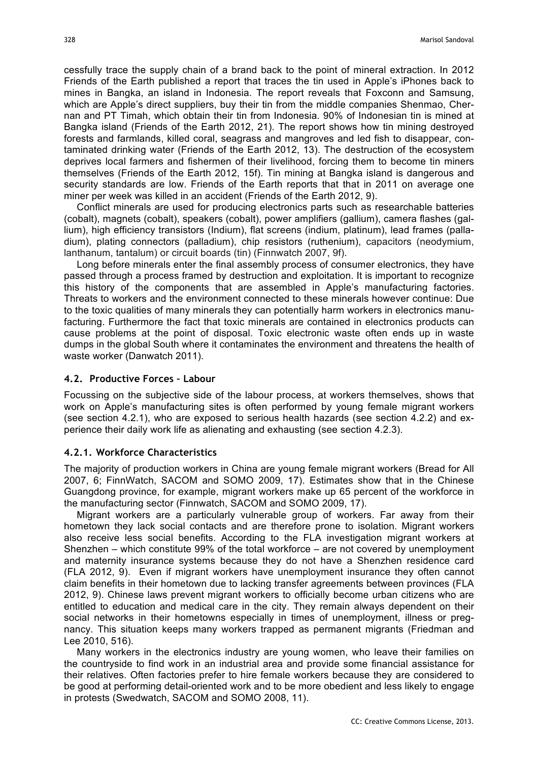cessfully trace the supply chain of a brand back to the point of mineral extraction. In 2012 Friends of the Earth published a report that traces the tin used in Apple's iPhones back to mines in Bangka, an island in Indonesia. The report reveals that Foxconn and Samsung, which are Apple's direct suppliers, buy their tin from the middle companies Shenmao, Chernan and PT Timah, which obtain their tin from Indonesia. 90% of Indonesian tin is mined at Bangka island (Friends of the Earth 2012, 21). The report shows how tin mining destroyed forests and farmlands, killed coral, seagrass and mangroves and led fish to disappear, contaminated drinking water (Friends of the Earth 2012, 13). The destruction of the ecosystem deprives local farmers and fishermen of their livelihood, forcing them to become tin miners themselves (Friends of the Earth 2012, 15f). Tin mining at Bangka island is dangerous and security standards are low. Friends of the Earth reports that that in 2011 on average one miner per week was killed in an accident (Friends of the Earth 2012, 9).

Conflict minerals are used for producing electronics parts such as researchable batteries (cobalt), magnets (cobalt), speakers (cobalt), power amplifiers (gallium), camera flashes (gallium), high efficiency transistors (Indium), flat screens (indium, platinum), lead frames (palladium), plating connectors (palladium), chip resistors (ruthenium), capacitors (neodymium, lanthanum, tantalum) or circuit boards (tin) (Finnwatch 2007, 9f).

Long before minerals enter the final assembly process of consumer electronics, they have passed through a process framed by destruction and exploitation. It is important to recognize this history of the components that are assembled in Apple's manufacturing factories. Threats to workers and the environment connected to these minerals however continue: Due to the toxic qualities of many minerals they can potentially harm workers in electronics manufacturing. Furthermore the fact that toxic minerals are contained in electronics products can cause problems at the point of disposal. Toxic electronic waste often ends up in waste dumps in the global South where it contaminates the environment and threatens the health of waste worker (Danwatch 2011).

#### **4.2. Productive Forces – Labour**

Focussing on the subjective side of the labour process, at workers themselves, shows that work on Apple's manufacturing sites is often performed by young female migrant workers (see section 4.2.1), who are exposed to serious health hazards (see section 4.2.2) and experience their daily work life as alienating and exhausting (see section 4.2.3).

# **4.2.1. Workforce Characteristics**

The majority of production workers in China are young female migrant workers (Bread for All 2007, 6; FinnWatch, SACOM and SOMO 2009, 17). Estimates show that in the Chinese Guangdong province, for example, migrant workers make up 65 percent of the workforce in the manufacturing sector (Finnwatch, SACOM and SOMO 2009, 17).

Migrant workers are a particularly vulnerable group of workers. Far away from their hometown they lack social contacts and are therefore prone to isolation. Migrant workers also receive less social benefits. According to the FLA investigation migrant workers at Shenzhen – which constitute 99% of the total workforce – are not covered by unemployment and maternity insurance systems because they do not have a Shenzhen residence card (FLA 2012, 9). Even if migrant workers have unemployment insurance they often cannot claim benefits in their hometown due to lacking transfer agreements between provinces (FLA 2012, 9). Chinese laws prevent migrant workers to officially become urban citizens who are entitled to education and medical care in the city. They remain always dependent on their social networks in their hometowns especially in times of unemployment, illness or pregnancy. This situation keeps many workers trapped as permanent migrants (Friedman and Lee 2010, 516).

Many workers in the electronics industry are young women, who leave their families on the countryside to find work in an industrial area and provide some financial assistance for their relatives. Often factories prefer to hire female workers because they are considered to be good at performing detail-oriented work and to be more obedient and less likely to engage in protests (Swedwatch, SACOM and SOMO 2008, 11).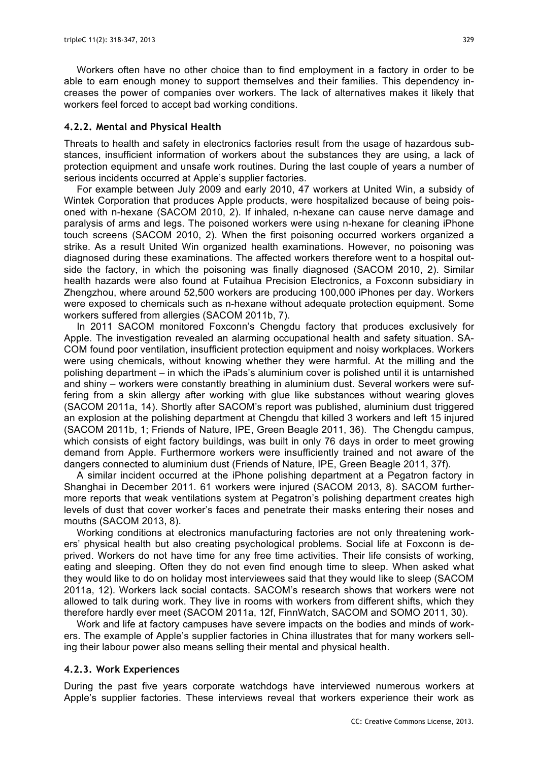Workers often have no other choice than to find employment in a factory in order to be able to earn enough money to support themselves and their families. This dependency in-

creases the power of companies over workers. The lack of alternatives makes it likely that workers feel forced to accept bad working conditions.

# **4.2.2. Mental and Physical Health**

Threats to health and safety in electronics factories result from the usage of hazardous substances, insufficient information of workers about the substances they are using, a lack of protection equipment and unsafe work routines. During the last couple of years a number of serious incidents occurred at Apple's supplier factories.

For example between July 2009 and early 2010, 47 workers at United Win, a subsidy of Wintek Corporation that produces Apple products, were hospitalized because of being poisoned with n-hexane (SACOM 2010, 2). If inhaled, n-hexane can cause nerve damage and paralysis of arms and legs. The poisoned workers were using n-hexane for cleaning iPhone touch screens (SACOM 2010, 2). When the first poisoning occurred workers organized a strike. As a result United Win organized health examinations. However, no poisoning was diagnosed during these examinations. The affected workers therefore went to a hospital outside the factory, in which the poisoning was finally diagnosed (SACOM 2010, 2). Similar health hazards were also found at Futaihua Precision Electronics, a Foxconn subsidiary in Zhengzhou, where around 52,500 workers are producing 100,000 iPhones per day. Workers were exposed to chemicals such as n-hexane without adequate protection equipment. Some workers suffered from allergies (SACOM 2011b, 7).

In 2011 SACOM monitored Foxconn's Chengdu factory that produces exclusively for Apple. The investigation revealed an alarming occupational health and safety situation. SA-COM found poor ventilation, insufficient protection equipment and noisy workplaces. Workers were using chemicals, without knowing whether they were harmful. At the milling and the polishing department – in which the iPads's aluminium cover is polished until it is untarnished and shiny – workers were constantly breathing in aluminium dust. Several workers were suffering from a skin allergy after working with glue like substances without wearing gloves (SACOM 2011a, 14). Shortly after SACOM's report was published, aluminium dust triggered an explosion at the polishing department at Chengdu that killed 3 workers and left 15 injured (SACOM 2011b, 1; Friends of Nature, IPE, Green Beagle 2011, 36). The Chengdu campus, which consists of eight factory buildings, was built in only 76 days in order to meet growing demand from Apple. Furthermore workers were insufficiently trained and not aware of the dangers connected to aluminium dust (Friends of Nature, IPE, Green Beagle 2011, 37f).

A similar incident occurred at the iPhone polishing department at a Pegatron factory in Shanghai in December 2011. 61 workers were injured (SACOM 2013, 8). SACOM furthermore reports that weak ventilations system at Pegatron's polishing department creates high levels of dust that cover worker's faces and penetrate their masks entering their noses and mouths (SACOM 2013, 8).

Working conditions at electronics manufacturing factories are not only threatening workers' physical health but also creating psychological problems. Social life at Foxconn is deprived. Workers do not have time for any free time activities. Their life consists of working, eating and sleeping. Often they do not even find enough time to sleep. When asked what they would like to do on holiday most interviewees said that they would like to sleep (SACOM 2011a, 12). Workers lack social contacts. SACOM's research shows that workers were not allowed to talk during work. They live in rooms with workers from different shifts, which they therefore hardly ever meet (SACOM 2011a, 12f, FinnWatch, SACOM and SOMO 2011, 30).

Work and life at factory campuses have severe impacts on the bodies and minds of workers. The example of Apple's supplier factories in China illustrates that for many workers selling their labour power also means selling their mental and physical health.

# **4.2.3. Work Experiences**

During the past five years corporate watchdogs have interviewed numerous workers at Apple's supplier factories. These interviews reveal that workers experience their work as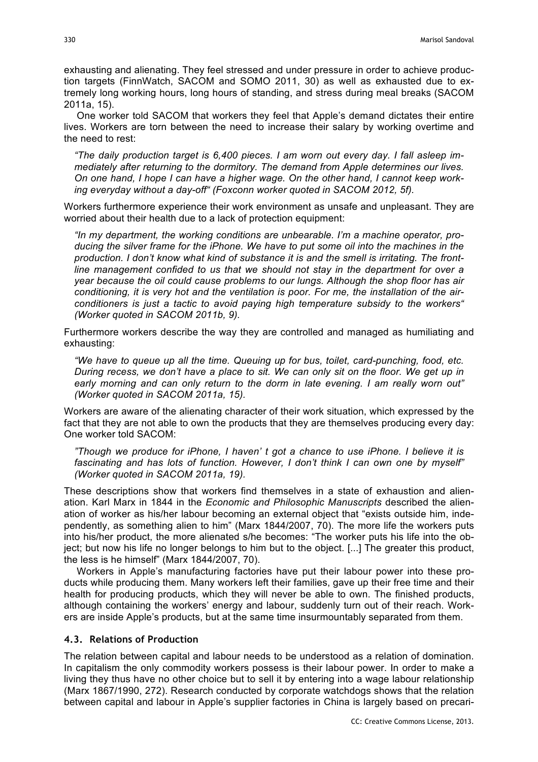exhausting and alienating. They feel stressed and under pressure in order to achieve production targets (FinnWatch, SACOM and SOMO 2011, 30) as well as exhausted due to extremely long working hours, long hours of standing, and stress during meal breaks (SACOM 2011a, 15).

One worker told SACOM that workers they feel that Apple's demand dictates their entire lives. Workers are torn between the need to increase their salary by working overtime and the need to rest:

*"The daily production target is 6,400 pieces. I am worn out every day. I fall asleep immediately after returning to the dormitory. The demand from Apple determines our lives. On one hand, I hope I can have a higher wage. On the other hand, I cannot keep working everyday without a day-off" (Foxconn worker quoted in SACOM 2012, 5f).*

Workers furthermore experience their work environment as unsafe and unpleasant. They are worried about their health due to a lack of protection equipment:

*"In my department, the working conditions are unbearable. I'm a machine operator, producing the silver frame for the iPhone. We have to put some oil into the machines in the production. I don't know what kind of substance it is and the smell is irritating. The frontline management confided to us that we should not stay in the department for over a year because the oil could cause problems to our lungs. Although the shop floor has air conditioning, it is very hot and the ventilation is poor. For me, the installation of the airconditioners is just a tactic to avoid paying high temperature subsidy to the workers" (Worker quoted in SACOM 2011b, 9).*

Furthermore workers describe the way they are controlled and managed as humiliating and exhausting:

*"We have to queue up all the time. Queuing up for bus, toilet, card-punching, food, etc. During recess, we don't have a place to sit. We can only sit on the floor. We get up in early morning and can only return to the dorm in late evening. I am really worn out" (Worker quoted in SACOM 2011a, 15).*

Workers are aware of the alienating character of their work situation, which expressed by the fact that they are not able to own the products that they are themselves producing every day: One worker told SACOM:

*"Though we produce for iPhone, I haven' t got a chance to use iPhone. I believe it is fascinating and has lots of function. However, I don't think I can own one by myself" (Worker quoted in SACOM 2011a, 19).*

These descriptions show that workers find themselves in a state of exhaustion and alienation. Karl Marx in 1844 in the *Economic and Philosophic Manuscripts* described the alienation of worker as his/her labour becoming an external object that "exists outside him, independently, as something alien to him" (Marx 1844/2007, 70). The more life the workers puts into his/her product, the more alienated s/he becomes: "The worker puts his life into the object; but now his life no longer belongs to him but to the object. [...] The greater this product, the less is he himself" (Marx 1844/2007, 70).

Workers in Apple's manufacturing factories have put their labour power into these products while producing them. Many workers left their families, gave up their free time and their health for producing products, which they will never be able to own. The finished products, although containing the workers' energy and labour, suddenly turn out of their reach. Workers are inside Apple's products, but at the same time insurmountably separated from them.

# **4.3. Relations of Production**

The relation between capital and labour needs to be understood as a relation of domination. In capitalism the only commodity workers possess is their labour power. In order to make a living they thus have no other choice but to sell it by entering into a wage labour relationship (Marx 1867/1990, 272). Research conducted by corporate watchdogs shows that the relation between capital and labour in Apple's supplier factories in China is largely based on precari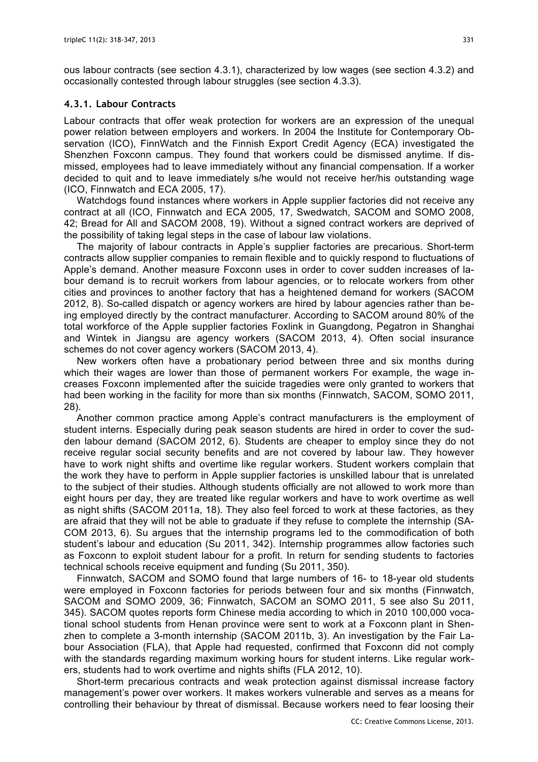ous labour contracts (see section 4.3.1), characterized by low wages (see section 4.3.2) and occasionally contested through labour struggles (see section 4.3.3).

#### **4.3.1. Labour Contracts**

Labour contracts that offer weak protection for workers are an expression of the unequal power relation between employers and workers. In 2004 the Institute for Contemporary Observation (ICO), FinnWatch and the Finnish Export Credit Agency (ECA) investigated the Shenzhen Foxconn campus. They found that workers could be dismissed anytime. If dismissed, employees had to leave immediately without any financial compensation. If a worker decided to quit and to leave immediately s/he would not receive her/his outstanding wage (ICO, Finnwatch and ECA 2005, 17).

Watchdogs found instances where workers in Apple supplier factories did not receive any contract at all (ICO, Finnwatch and ECA 2005, 17, Swedwatch, SACOM and SOMO 2008, 42; Bread for All and SACOM 2008, 19). Without a signed contract workers are deprived of the possibility of taking legal steps in the case of labour law violations.

The majority of labour contracts in Apple's supplier factories are precarious. Short-term contracts allow supplier companies to remain flexible and to quickly respond to fluctuations of Apple's demand. Another measure Foxconn uses in order to cover sudden increases of labour demand is to recruit workers from labour agencies, or to relocate workers from other cities and provinces to another factory that has a heightened demand for workers (SACOM 2012, 8). So-called dispatch or agency workers are hired by labour agencies rather than being employed directly by the contract manufacturer. According to SACOM around 80% of the total workforce of the Apple supplier factories Foxlink in Guangdong, Pegatron in Shanghai and Wintek in Jiangsu are agency workers (SACOM 2013, 4). Often social insurance schemes do not cover agency workers (SACOM 2013, 4).

New workers often have a probationary period between three and six months during which their wages are lower than those of permanent workers For example, the wage increases Foxconn implemented after the suicide tragedies were only granted to workers that had been working in the facility for more than six months (Finnwatch, SACOM, SOMO 2011, 28).

Another common practice among Apple's contract manufacturers is the employment of student interns. Especially during peak season students are hired in order to cover the sudden labour demand (SACOM 2012, 6). Students are cheaper to employ since they do not receive regular social security benefits and are not covered by labour law. They however have to work night shifts and overtime like regular workers. Student workers complain that the work they have to perform in Apple supplier factories is unskilled labour that is unrelated to the subject of their studies. Although students officially are not allowed to work more than eight hours per day, they are treated like regular workers and have to work overtime as well as night shifts (SACOM 2011a, 18). They also feel forced to work at these factories, as they are afraid that they will not be able to graduate if they refuse to complete the internship (SA-COM 2013, 6). Su argues that the internship programs led to the commodification of both student's labour and education (Su 2011, 342). Internship programmes allow factories such as Foxconn to exploit student labour for a profit. In return for sending students to factories technical schools receive equipment and funding (Su 2011, 350).

Finnwatch, SACOM and SOMO found that large numbers of 16- to 18-year old students were employed in Foxconn factories for periods between four and six months (Finnwatch, SACOM and SOMO 2009, 36; Finnwatch, SACOM an SOMO 2011, 5 see also Su 2011, 345). SACOM quotes reports form Chinese media according to which in 2010 100,000 vocational school students from Henan province were sent to work at a Foxconn plant in Shenzhen to complete a 3-month internship (SACOM 2011b, 3). An investigation by the Fair Labour Association (FLA), that Apple had requested, confirmed that Foxconn did not comply with the standards regarding maximum working hours for student interns. Like regular workers, students had to work overtime and nights shifts (FLA 2012, 10).

Short-term precarious contracts and weak protection against dismissal increase factory management's power over workers. It makes workers vulnerable and serves as a means for controlling their behaviour by threat of dismissal. Because workers need to fear loosing their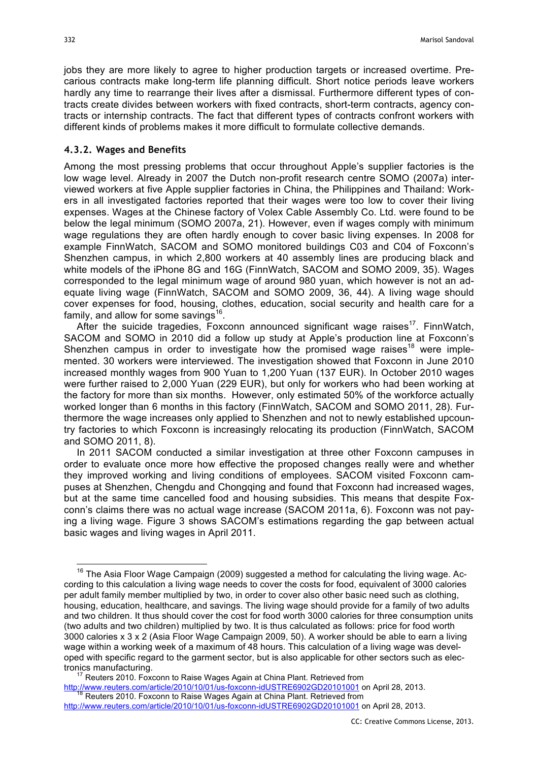jobs they are more likely to agree to higher production targets or increased overtime. Precarious contracts make long-term life planning difficult. Short notice periods leave workers hardly any time to rearrange their lives after a dismissal. Furthermore different types of contracts create divides between workers with fixed contracts, short-term contracts, agency contracts or internship contracts. The fact that different types of contracts confront workers with different kinds of problems makes it more difficult to formulate collective demands.

### **4.3.2. Wages and Benefits**

Among the most pressing problems that occur throughout Apple's supplier factories is the low wage level. Already in 2007 the Dutch non-profit research centre SOMO (2007a) interviewed workers at five Apple supplier factories in China, the Philippines and Thailand: Workers in all investigated factories reported that their wages were too low to cover their living expenses. Wages at the Chinese factory of Volex Cable Assembly Co. Ltd. were found to be below the legal minimum (SOMO 2007a, 21). However, even if wages comply with minimum wage regulations they are often hardly enough to cover basic living expenses. In 2008 for example FinnWatch, SACOM and SOMO monitored buildings C03 and C04 of Foxconn's Shenzhen campus, in which 2,800 workers at 40 assembly lines are producing black and white models of the iPhone 8G and 16G (FinnWatch, SACOM and SOMO 2009, 35). Wages corresponded to the legal minimum wage of around 980 yuan, which however is not an adequate living wage (FinnWatch, SACOM and SOMO 2009, 36, 44). A living wage should cover expenses for food, housing, clothes, education, social security and health care for a family, and allow for some savings $16$ .

After the suicide tragedies, Foxconn announced significant wage raises<sup>17</sup>. FinnWatch, SACOM and SOMO in 2010 did a follow up study at Apple's production line at Foxconn's Shenzhen campus in order to investigate how the promised wage raises<sup>18</sup> were implemented. 30 workers were interviewed. The investigation showed that Foxconn in June 2010 increased monthly wages from 900 Yuan to 1,200 Yuan (137 EUR). In October 2010 wages were further raised to 2,000 Yuan (229 EUR), but only for workers who had been working at the factory for more than six months. However, only estimated 50% of the workforce actually worked longer than 6 months in this factory (FinnWatch, SACOM and SOMO 2011, 28). Furthermore the wage increases only applied to Shenzhen and not to newly established upcountry factories to which Foxconn is increasingly relocating its production (FinnWatch, SACOM and SOMO 2011, 8).

In 2011 SACOM conducted a similar investigation at three other Foxconn campuses in order to evaluate once more how effective the proposed changes really were and whether they improved working and living conditions of employees. SACOM visited Foxconn campuses at Shenzhen, Chengdu and Chongqing and found that Foxconn had increased wages, but at the same time cancelled food and housing subsidies. This means that despite Foxconn's claims there was no actual wage increase (SACOM 2011a, 6). Foxconn was not paying a living wage. Figure 3 shows SACOM's estimations regarding the gap between actual basic wages and living wages in April 2011.

 $16$  The Asia Floor Wage Campaign (2009) suggested a method for calculating the living wage. According to this calculation a living wage needs to cover the costs for food, equivalent of 3000 calories per adult family member multiplied by two, in order to cover also other basic need such as clothing, housing, education, healthcare, and savings. The living wage should provide for a family of two adults and two children. It thus should cover the cost for food worth 3000 calories for three consumption units (two adults and two children) multiplied by two. It is thus calculated as follows: price for food worth 3000 calories x 3 x 2 (Asia Floor Wage Campaign 2009, 50). A worker should be able to earn a living wage within a working week of a maximum of 48 hours. This calculation of a living wage was developed with specific regard to the garment sector, but is also applicable for other sectors such as electronics manufacturing.<br><sup>17</sup> Reuters 2010. Foxconn to Raise Wages Again at China Plant. Retrieved from

http://www.reuters.com/article/2010/10/01/us-foxconn-idUSTRE6902GD20101001</u> on April 28, 2013.<br><sup>18</sup> Reuters 2010. Foxconn to Raise Wages Again at China Plant. Retrieved from

http://www.reuters.com/article/2010/10/01/us-foxconn-idUSTRE6902GD20101001 on April 28, 2013.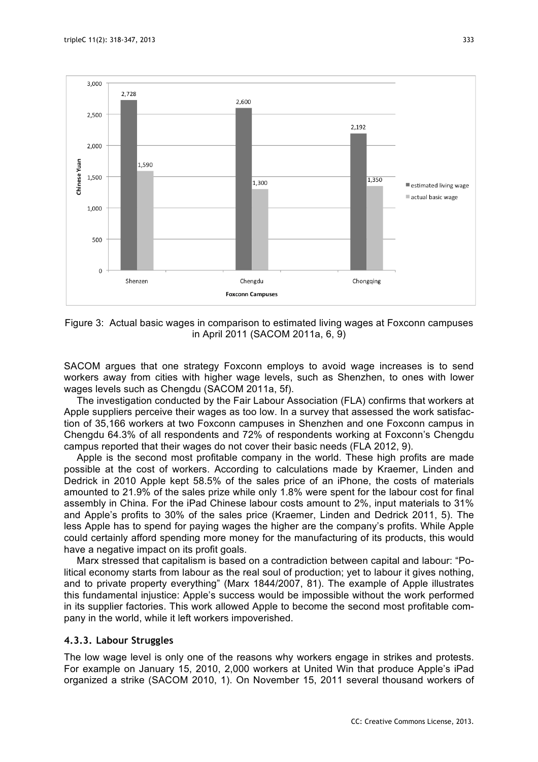

Figure 3: Actual basic wages in comparison to estimated living wages at Foxconn campuses in April 2011 (SACOM 2011a, 6, 9)

SACOM argues that one strategy Foxconn employs to avoid wage increases is to send workers away from cities with higher wage levels, such as Shenzhen, to ones with lower wages levels such as Chengdu (SACOM 2011a, 5f).

The investigation conducted by the Fair Labour Association (FLA) confirms that workers at Apple suppliers perceive their wages as too low. In a survey that assessed the work satisfaction of 35,166 workers at two Foxconn campuses in Shenzhen and one Foxconn campus in Chengdu 64.3% of all respondents and 72% of respondents working at Foxconn's Chengdu campus reported that their wages do not cover their basic needs (FLA 2012, 9).

Apple is the second most profitable company in the world. These high profits are made possible at the cost of workers. According to calculations made by Kraemer, Linden and Dedrick in 2010 Apple kept 58.5% of the sales price of an iPhone, the costs of materials amounted to 21.9% of the sales prize while only 1.8% were spent for the labour cost for final assembly in China. For the iPad Chinese labour costs amount to 2%, input materials to 31% and Apple's profits to 30% of the sales price (Kraemer, Linden and Dedrick 2011, 5). The less Apple has to spend for paying wages the higher are the company's profits. While Apple could certainly afford spending more money for the manufacturing of its products, this would have a negative impact on its profit goals.

Marx stressed that capitalism is based on a contradiction between capital and labour: "Political economy starts from labour as the real soul of production; yet to labour it gives nothing, and to private property everything" (Marx 1844/2007, 81). The example of Apple illustrates this fundamental injustice: Apple's success would be impossible without the work performed in its supplier factories. This work allowed Apple to become the second most profitable company in the world, while it left workers impoverished.

# **4.3.3. Labour Struggles**

The low wage level is only one of the reasons why workers engage in strikes and protests. For example on January 15, 2010, 2,000 workers at United Win that produce Apple's iPad organized a strike (SACOM 2010, 1). On November 15, 2011 several thousand workers of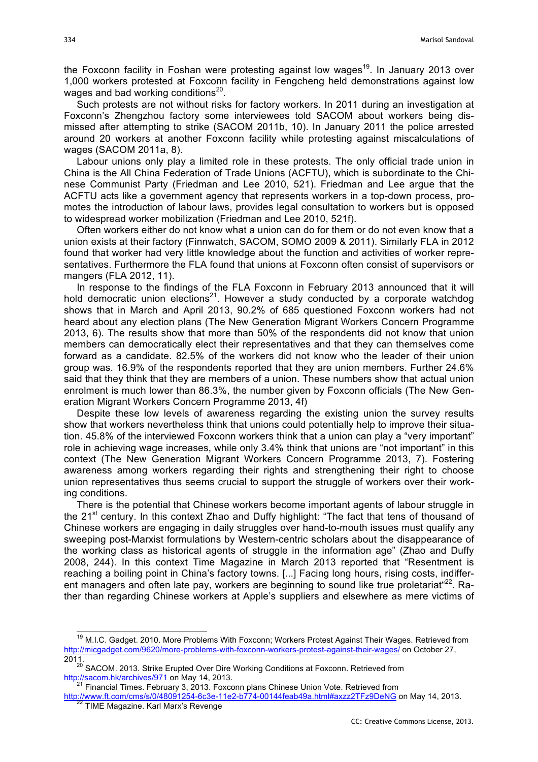the Foxconn facility in Foshan were protesting against low wages<sup>19</sup>. In January 2013 over 1,000 workers protested at Foxconn facility in Fengcheng held demonstrations against low wages and bad working conditions $20$ .

Such protests are not without risks for factory workers. In 2011 during an investigation at Foxconn's Zhengzhou factory some interviewees told SACOM about workers being dismissed after attempting to strike (SACOM 2011b, 10). In January 2011 the police arrested around 20 workers at another Foxconn facility while protesting against miscalculations of wages (SACOM 2011a, 8).

Labour unions only play a limited role in these protests. The only official trade union in China is the All China Federation of Trade Unions (ACFTU), which is subordinate to the Chinese Communist Party (Friedman and Lee 2010, 521). Friedman and Lee argue that the ACFTU acts like a government agency that represents workers in a top-down process, promotes the introduction of labour laws, provides legal consultation to workers but is opposed to widespread worker mobilization (Friedman and Lee 2010, 521f).

Often workers either do not know what a union can do for them or do not even know that a union exists at their factory (Finnwatch, SACOM, SOMO 2009 & 2011). Similarly FLA in 2012 found that worker had very little knowledge about the function and activities of worker representatives. Furthermore the FLA found that unions at Foxconn often consist of supervisors or mangers (FLA 2012, 11).

In response to the findings of the FLA Foxconn in February 2013 announced that it will hold democratic union elections<sup>21</sup>. However a study conducted by a corporate watchdog shows that in March and April 2013, 90.2% of 685 questioned Foxconn workers had not heard about any election plans (The New Generation Migrant Workers Concern Programme 2013, 6). The results show that more than 50% of the respondents did not know that union members can democratically elect their representatives and that they can themselves come forward as a candidate. 82.5% of the workers did not know who the leader of their union group was. 16.9% of the respondents reported that they are union members. Further 24.6% said that they think that they are members of a union. These numbers show that actual union enrolment is much lower than 86.3%, the number given by Foxconn officials (The New Generation Migrant Workers Concern Programme 2013, 4f)

Despite these low levels of awareness regarding the existing union the survey results show that workers nevertheless think that unions could potentially help to improve their situation. 45.8% of the interviewed Foxconn workers think that a union can play a "very important" role in achieving wage increases, while only 3.4% think that unions are "not important" in this context (The New Generation Migrant Workers Concern Programme 2013, 7). Fostering awareness among workers regarding their rights and strengthening their right to choose union representatives thus seems crucial to support the struggle of workers over their working conditions.

There is the potential that Chinese workers become important agents of labour struggle in the 21<sup>st</sup> century. In this context Zhao and Duffy highlight: "The fact that tens of thousand of Chinese workers are engaging in daily struggles over hand-to-mouth issues must qualify any sweeping post-Marxist formulations by Western-centric scholars about the disappearance of the working class as historical agents of struggle in the information age" (Zhao and Duffy 2008, 244). In this context Time Magazine in March 2013 reported that "Resentment is reaching a boiling point in China's factory towns. [...] Facing long hours, rising costs, indifferent managers and often late pay, workers are beginning to sound like true proletariat<sup>422</sup>. Rather than regarding Chinese workers at Apple's suppliers and elsewhere as mere victims of

<sup>&</sup>lt;sup>19</sup> M.I.C. Gadget. 2010. More Problems With Foxconn; Workers Protest Against Their Wages. Retrieved from http://micgadget.com/9620/more-problems-with-foxconn-workers-protest-against-their-wages/ on October 27,

<sup>2011.&</sup>lt;br><sup>20</sup> SACOM. 2013. Strike Erupted Over Dire Working Conditions at Foxconn. Retrieved from<br>http://sacom.hk/archives/971 on May 14, 2013.<br><sup>21</sup> Einancial Times, Echrupy 3, 2013. Ecveepe plans Chinese Union Veta, Petriev

Financial Times. February 3, 2013. Foxconn plans Chinese Union Vote. Retrieved from

http://www.ft.com/cms/s/0/48091254-6c3e-11e2-b774-00144feab49a.html#axzz2TFz9DeNG on May 14, 2013.<br><sup>22</sup> TIME Magazine. Karl Marx's Revenge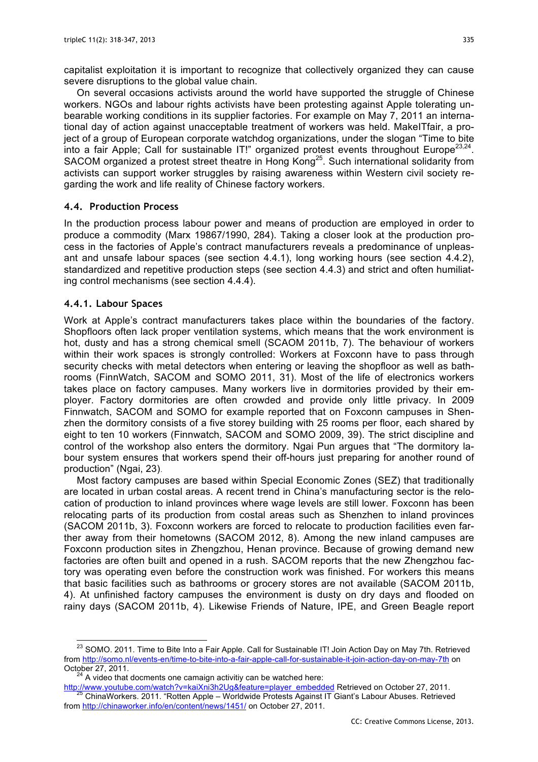capitalist exploitation it is important to recognize that collectively organized they can cause severe disruptions to the global value chain.

On several occasions activists around the world have supported the struggle of Chinese workers. NGOs and labour rights activists have been protesting against Apple tolerating unbearable working conditions in its supplier factories. For example on May 7, 2011 an international day of action against unacceptable treatment of workers was held. MakeITfair, a project of a group of European corporate watchdog organizations, under the slogan "Time to bite into a fair Apple; Call for sustainable IT!" organized protest events throughout Europe<sup>23,24</sup>. SACOM organized a protest street theatre in Hong Kong<sup>25</sup>. Such international solidarity from activists can support worker struggles by raising awareness within Western civil society regarding the work and life reality of Chinese factory workers.

# **4.4. Production Process**

In the production process labour power and means of production are employed in order to produce a commodity (Marx 19867/1990, 284). Taking a closer look at the production process in the factories of Apple's contract manufacturers reveals a predominance of unpleasant and unsafe labour spaces (see section 4.4.1), long working hours (see section 4.4.2), standardized and repetitive production steps (see section 4.4.3) and strict and often humiliating control mechanisms (see section 4.4.4).

# **4.4.1. Labour Spaces**

Work at Apple's contract manufacturers takes place within the boundaries of the factory. Shopfloors often lack proper ventilation systems, which means that the work environment is hot, dusty and has a strong chemical smell (SCAOM 2011b, 7). The behaviour of workers within their work spaces is strongly controlled: Workers at Foxconn have to pass through security checks with metal detectors when entering or leaving the shopfloor as well as bathrooms (FinnWatch, SACOM and SOMO 2011, 31). Most of the life of electronics workers takes place on factory campuses. Many workers live in dormitories provided by their employer. Factory dormitories are often crowded and provide only little privacy. In 2009 Finnwatch, SACOM and SOMO for example reported that on Foxconn campuses in Shenzhen the dormitory consists of a five storey building with 25 rooms per floor, each shared by eight to ten 10 workers (Finnwatch, SACOM and SOMO 2009, 39). The strict discipline and control of the workshop also enters the dormitory. Ngai Pun argues that "The dormitory labour system ensures that workers spend their off-hours just preparing for another round of production" (Ngai, 23).

Most factory campuses are based within Special Economic Zones (SEZ) that traditionally are located in urban costal areas. A recent trend in China's manufacturing sector is the relocation of production to inland provinces where wage levels are still lower. Foxconn has been relocating parts of its production from costal areas such as Shenzhen to inland provinces (SACOM 2011b, 3). Foxconn workers are forced to relocate to production facilities even farther away from their hometowns (SACOM 2012, 8). Among the new inland campuses are Foxconn production sites in Zhengzhou, Henan province. Because of growing demand new factories are often built and opened in a rush. SACOM reports that the new Zhengzhou factory was operating even before the construction work was finished. For workers this means that basic facilities such as bathrooms or grocery stores are not available (SACOM 2011b, 4). At unfinished factory campuses the environment is dusty on dry days and flooded on rainy days (SACOM 2011b, 4). Likewise Friends of Nature, IPE, and Green Beagle report

 $^{23}$  SOMO. 2011. Time to Bite Into a Fair Apple. Call for Sustainable IT! Join Action Day on May 7th. Retrieved from http://somo.nl/events-en/time-to-bite-into-a-fair-apple-call-for-sustainable-it-join-action-day-on-may-7th on October 27, 2011.<br><sup>24</sup> A video that docments one camaign activitiy can be watched here:

http://www.youtube.com/watch?v=kaiXni3h2Ug&feature=player\_embedded Retrieved on October 27, 2011.<br><sup>25</sup> ChinaWorkers. 2011. "Rotten Apple – Worldwide Protests Against IT Giant's Labour Abuses. Retrieved from http://chinaworker.info/en/content/news/1451/ on October 27, 2011.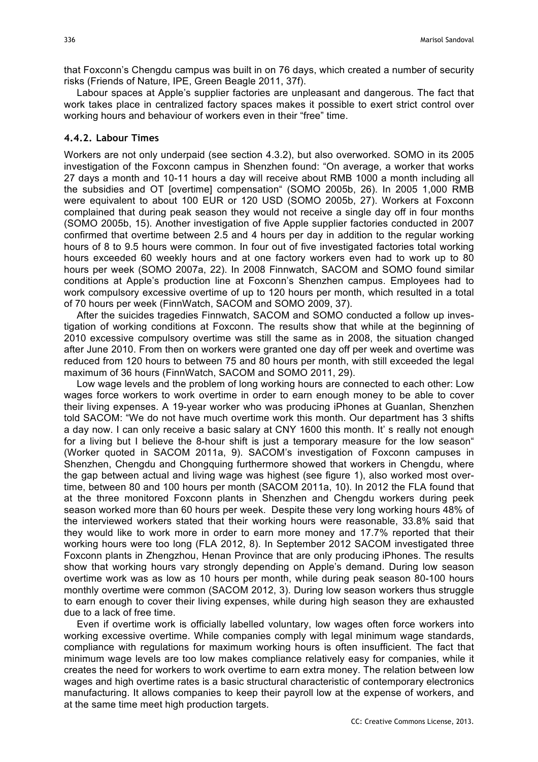that Foxconn's Chengdu campus was built in on 76 days, which created a number of security risks (Friends of Nature, IPE, Green Beagle 2011, 37f).

Labour spaces at Apple's supplier factories are unpleasant and dangerous. The fact that work takes place in centralized factory spaces makes it possible to exert strict control over working hours and behaviour of workers even in their "free" time.

## **4.4.2. Labour Times**

Workers are not only underpaid (see section 4.3.2), but also overworked. SOMO in its 2005 investigation of the Foxconn campus in Shenzhen found: "On average, a worker that works 27 days a month and 10-11 hours a day will receive about RMB 1000 a month including all the subsidies and OT [overtime] compensation" (SOMO 2005b, 26). In 2005 1,000 RMB were equivalent to about 100 EUR or 120 USD (SOMO 2005b, 27). Workers at Foxconn complained that during peak season they would not receive a single day off in four months (SOMO 2005b, 15). Another investigation of five Apple supplier factories conducted in 2007 confirmed that overtime between 2.5 and 4 hours per day in addition to the regular working hours of 8 to 9.5 hours were common. In four out of five investigated factories total working hours exceeded 60 weekly hours and at one factory workers even had to work up to 80 hours per week (SOMO 2007a, 22). In 2008 Finnwatch, SACOM and SOMO found similar conditions at Apple's production line at Foxconn's Shenzhen campus. Employees had to work compulsory excessive overtime of up to 120 hours per month, which resulted in a total of 70 hours per week (FinnWatch, SACOM and SOMO 2009, 37).

After the suicides tragedies Finnwatch, SACOM and SOMO conducted a follow up investigation of working conditions at Foxconn. The results show that while at the beginning of 2010 excessive compulsory overtime was still the same as in 2008, the situation changed after June 2010. From then on workers were granted one day off per week and overtime was reduced from 120 hours to between 75 and 80 hours per month, with still exceeded the legal maximum of 36 hours (FinnWatch, SACOM and SOMO 2011, 29).

Low wage levels and the problem of long working hours are connected to each other: Low wages force workers to work overtime in order to earn enough money to be able to cover their living expenses. A 19-year worker who was producing iPhones at Guanlan, Shenzhen told SACOM: "We do not have much overtime work this month. Our department has 3 shifts a day now. I can only receive a basic salary at CNY 1600 this month. It' s really not enough for a living but I believe the 8-hour shift is just a temporary measure for the low season" (Worker quoted in SACOM 2011a, 9). SACOM's investigation of Foxconn campuses in Shenzhen, Chengdu and Chongquing furthermore showed that workers in Chengdu, where the gap between actual and living wage was highest (see figure 1), also worked most overtime, between 80 and 100 hours per month (SACOM 2011a, 10). In 2012 the FLA found that at the three monitored Foxconn plants in Shenzhen and Chengdu workers during peek season worked more than 60 hours per week. Despite these very long working hours 48% of the interviewed workers stated that their working hours were reasonable, 33.8% said that they would like to work more in order to earn more money and 17.7% reported that their working hours were too long (FLA 2012, 8). In September 2012 SACOM investigated three Foxconn plants in Zhengzhou, Henan Province that are only producing iPhones. The results show that working hours vary strongly depending on Apple's demand. During low season overtime work was as low as 10 hours per month, while during peak season 80-100 hours monthly overtime were common (SACOM 2012, 3). During low season workers thus struggle to earn enough to cover their living expenses, while during high season they are exhausted due to a lack of free time.

Even if overtime work is officially labelled voluntary, low wages often force workers into working excessive overtime. While companies comply with legal minimum wage standards, compliance with regulations for maximum working hours is often insufficient. The fact that minimum wage levels are too low makes compliance relatively easy for companies, while it creates the need for workers to work overtime to earn extra money. The relation between low wages and high overtime rates is a basic structural characteristic of contemporary electronics manufacturing. It allows companies to keep their payroll low at the expense of workers, and at the same time meet high production targets.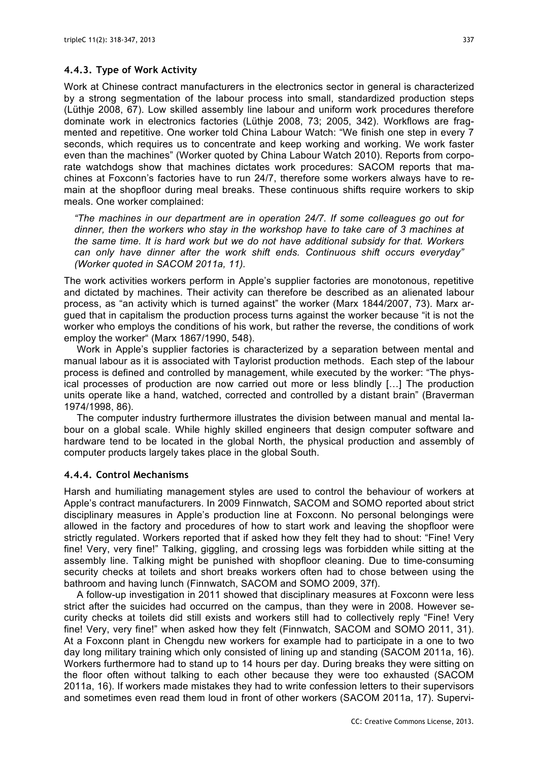### **4.4.3. Type of Work Activity**

Work at Chinese contract manufacturers in the electronics sector in general is characterized by a strong segmentation of the labour process into small, standardized production steps (Lüthje 2008, 67). Low skilled assembly line labour and uniform work procedures therefore dominate work in electronics factories (Lüthje 2008, 73; 2005, 342). Workflows are fragmented and repetitive. One worker told China Labour Watch: "We finish one step in every 7 seconds, which requires us to concentrate and keep working and working. We work faster even than the machines" (Worker quoted by China Labour Watch 2010). Reports from corporate watchdogs show that machines dictates work procedures: SACOM reports that machines at Foxconn's factories have to run 24/7, therefore some workers always have to remain at the shopfloor during meal breaks. These continuous shifts require workers to skip meals. One worker complained:

*"The machines in our department are in operation 24/7. If some colleagues go out for dinner, then the workers who stay in the workshop have to take care of 3 machines at the same time. It is hard work but we do not have additional subsidy for that. Workers can only have dinner after the work shift ends. Continuous shift occurs everyday" (Worker quoted in SACOM 2011a, 11).*

The work activities workers perform in Apple's supplier factories are monotonous, repetitive and dictated by machines. Their activity can therefore be described as an alienated labour process, as "an activity which is turned against" the worker (Marx 1844/2007, 73). Marx argued that in capitalism the production process turns against the worker because "it is not the worker who employs the conditions of his work, but rather the reverse, the conditions of work employ the worker" (Marx 1867/1990, 548).

Work in Apple's supplier factories is characterized by a separation between mental and manual labour as it is associated with Taylorist production methods. Each step of the labour process is defined and controlled by management, while executed by the worker: "The physical processes of production are now carried out more or less blindly […] The production units operate like a hand, watched, corrected and controlled by a distant brain" (Braverman 1974/1998, 86).

The computer industry furthermore illustrates the division between manual and mental labour on a global scale. While highly skilled engineers that design computer software and hardware tend to be located in the global North, the physical production and assembly of computer products largely takes place in the global South.

#### **4.4.4. Control Mechanisms**

Harsh and humiliating management styles are used to control the behaviour of workers at Apple's contract manufacturers. In 2009 Finnwatch, SACOM and SOMO reported about strict disciplinary measures in Apple's production line at Foxconn. No personal belongings were allowed in the factory and procedures of how to start work and leaving the shopfloor were strictly regulated. Workers reported that if asked how they felt they had to shout: "Fine! Very fine! Very, very fine!" Talking, giggling, and crossing legs was forbidden while sitting at the assembly line. Talking might be punished with shopfloor cleaning. Due to time-consuming security checks at toilets and short breaks workers often had to chose between using the bathroom and having lunch (Finnwatch, SACOM and SOMO 2009, 37f).

A follow-up investigation in 2011 showed that disciplinary measures at Foxconn were less strict after the suicides had occurred on the campus, than they were in 2008. However security checks at toilets did still exists and workers still had to collectively reply "Fine! Very fine! Very, very fine!" when asked how they felt (Finnwatch, SACOM and SOMO 2011, 31). At a Foxconn plant in Chengdu new workers for example had to participate in a one to two day long military training which only consisted of lining up and standing (SACOM 2011a, 16). Workers furthermore had to stand up to 14 hours per day. During breaks they were sitting on the floor often without talking to each other because they were too exhausted (SACOM 2011a, 16). If workers made mistakes they had to write confession letters to their supervisors and sometimes even read them loud in front of other workers (SACOM 2011a, 17). Supervi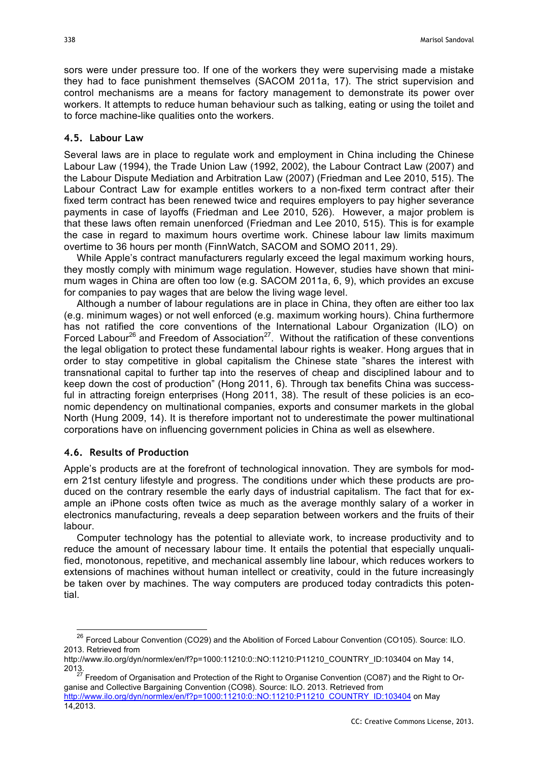sors were under pressure too. If one of the workers they were supervising made a mistake they had to face punishment themselves (SACOM 2011a, 17). The strict supervision and control mechanisms are a means for factory management to demonstrate its power over workers. It attempts to reduce human behaviour such as talking, eating or using the toilet and to force machine-like qualities onto the workers.

#### **4.5. Labour Law**

Several laws are in place to regulate work and employment in China including the Chinese Labour Law (1994), the Trade Union Law (1992, 2002), the Labour Contract Law (2007) and the Labour Dispute Mediation and Arbitration Law (2007) (Friedman and Lee 2010, 515). The Labour Contract Law for example entitles workers to a non-fixed term contract after their fixed term contract has been renewed twice and requires employers to pay higher severance payments in case of layoffs (Friedman and Lee 2010, 526). However, a major problem is that these laws often remain unenforced (Friedman and Lee 2010, 515). This is for example the case in regard to maximum hours overtime work. Chinese labour law limits maximum overtime to 36 hours per month (FinnWatch, SACOM and SOMO 2011, 29).

While Apple's contract manufacturers regularly exceed the legal maximum working hours, they mostly comply with minimum wage regulation. However, studies have shown that minimum wages in China are often too low (e.g. SACOM 2011a, 6, 9), which provides an excuse for companies to pay wages that are below the living wage level.

Although a number of labour regulations are in place in China, they often are either too lax (e.g. minimum wages) or not well enforced (e.g. maximum working hours). China furthermore has not ratified the core conventions of the International Labour Organization (ILO) on Forced Labour<sup>26</sup> and Freedom of Association<sup>27</sup>. Without the ratification of these conventions the legal obligation to protect these fundamental labour rights is weaker. Hong argues that in order to stay competitive in global capitalism the Chinese state "shares the interest with transnational capital to further tap into the reserves of cheap and disciplined labour and to keep down the cost of production" (Hong 2011, 6). Through tax benefits China was successful in attracting foreign enterprises (Hong 2011, 38). The result of these policies is an economic dependency on multinational companies, exports and consumer markets in the global North (Hung 2009, 14). It is therefore important not to underestimate the power multinational corporations have on influencing government policies in China as well as elsewhere.

### **4.6. Results of Production**

Apple's products are at the forefront of technological innovation. They are symbols for modern 21st century lifestyle and progress. The conditions under which these products are produced on the contrary resemble the early days of industrial capitalism. The fact that for example an iPhone costs often twice as much as the average monthly salary of a worker in electronics manufacturing, reveals a deep separation between workers and the fruits of their labour.

Computer technology has the potential to alleviate work, to increase productivity and to reduce the amount of necessary labour time. It entails the potential that especially unqualified, monotonous, repetitive, and mechanical assembly line labour, which reduces workers to extensions of machines without human intellect or creativity, could in the future increasingly be taken over by machines. The way computers are produced today contradicts this potential.

<sup>&</sup>lt;sup>26</sup> Forced Labour Convention (CO29) and the Abolition of Forced Labour Convention (CO105). Source: ILO. 2013. Retrieved from

http://www.ilo.org/dyn/normlex/en/f?p=1000:11210:0::NO:11210:P11210\_COUNTRY\_ID:103404 on May 14, 2013.<br><sup>27</sup> Freedom of Organisation and Protection of the Right to Organise Convention (CO87) and the Right to Or-

ganise and Collective Bargaining Convention (CO98). Source: ILO. 2013. Retrieved from http://www.ilo.org/dyn/normlex/en/f?p=1000:11210:0::NO:11210:P11210\_COUNTRY\_ID:103404 on May 14,2013.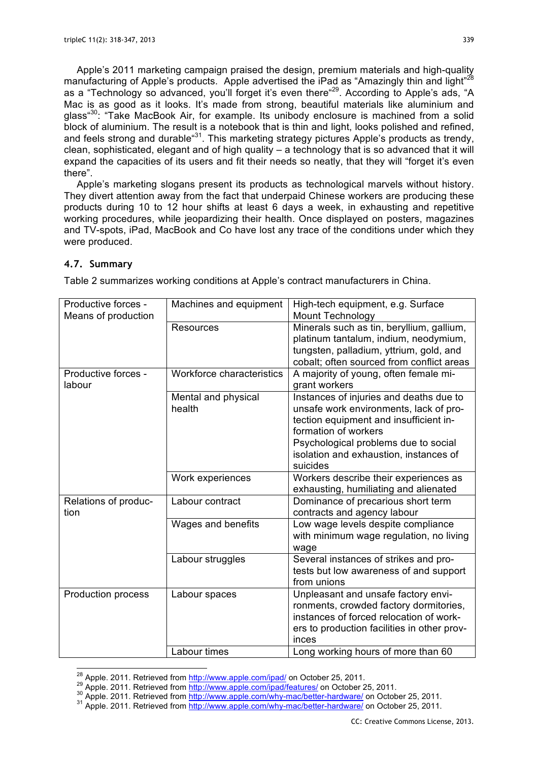Apple's 2011 marketing campaign praised the design, premium materials and high-quality manufacturing of Apple's products. Apple advertised the iPad as "Amazingly thin and light"<sup>28</sup> as a "Technology so advanced, you'll forget it's even there<sup>429</sup>. According to Apple's ads, "A Mac is as good as it looks. It's made from strong, beautiful materials like aluminium and glass"30: "Take MacBook Air, for example. Its unibody enclosure is machined from a solid block of aluminium. The result is a notebook that is thin and light, looks polished and refined, and feels strong and durable<sup>"31</sup>. This marketing strategy pictures Apple's products as trendy, clean, sophisticated, elegant and of high quality  $-$  a technology that is so advanced that it will expand the capacities of its users and fit their needs so neatly, that they will "forget it's even there".

Apple's marketing slogans present its products as technological marvels without history. They divert attention away from the fact that underpaid Chinese workers are producing these products during 10 to 12 hour shifts at least 6 days a week, in exhausting and repetitive working procedures, while jeopardizing their health. Once displayed on posters, magazines and TV-spots, iPad, MacBook and Co have lost any trace of the conditions under which they were produced.

# **4.7. Summary**

Table 2 summarizes working conditions at Apple's contract manufacturers in China.

| Productive forces -<br>Means of production | Machines and equipment        | High-tech equipment, e.g. Surface<br><b>Mount Technology</b>                                                                                                                                                                                      |
|--------------------------------------------|-------------------------------|---------------------------------------------------------------------------------------------------------------------------------------------------------------------------------------------------------------------------------------------------|
|                                            | <b>Resources</b>              | Minerals such as tin, beryllium, gallium,<br>platinum tantalum, indium, neodymium,<br>tungsten, palladium, yttrium, gold, and<br>cobalt; often sourced from conflict areas                                                                        |
| Productive forces -<br>labour              | Workforce characteristics     | A majority of young, often female mi-<br>grant workers                                                                                                                                                                                            |
|                                            | Mental and physical<br>health | Instances of injuries and deaths due to<br>unsafe work environments, lack of pro-<br>tection equipment and insufficient in-<br>formation of workers<br>Psychological problems due to social<br>isolation and exhaustion, instances of<br>suicides |
|                                            | Work experiences              | Workers describe their experiences as<br>exhausting, humiliating and alienated                                                                                                                                                                    |
| Relations of produc-<br>tion               | Labour contract               | Dominance of precarious short term<br>contracts and agency labour                                                                                                                                                                                 |
|                                            | Wages and benefits            | Low wage levels despite compliance<br>with minimum wage regulation, no living<br>wage                                                                                                                                                             |
|                                            | Labour struggles              | Several instances of strikes and pro-<br>tests but low awareness of and support<br>from unions                                                                                                                                                    |
| Production process                         | Labour spaces                 | Unpleasant and unsafe factory envi-<br>ronments, crowded factory dormitories,<br>instances of forced relocation of work-<br>ers to production facilities in other prov-<br>inces                                                                  |
|                                            | Labour times                  | Long working hours of more than 60                                                                                                                                                                                                                |

<sup>&</sup>lt;sup>28</sup> Apple. 2011. Retrieved from http://www.apple.com/ipad/ on October 25, 2011.<br><sup>29</sup> Apple. 2011. Retrieved from http://www.apple.com/ipad/features/ on October 25, 2011.<br><sup>30</sup> Apple. 2011. Retrieved from http://www.apple.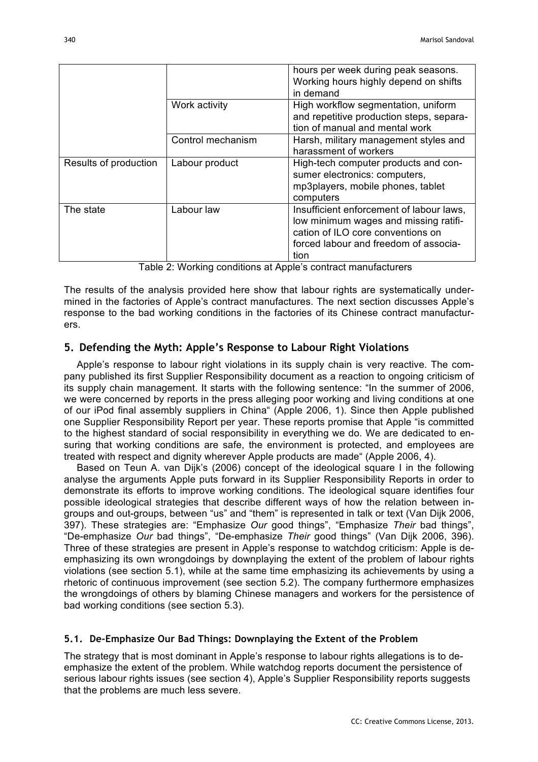|                       |                   | hours per week during peak seasons.<br>Working hours highly depend on shifts<br>in demand                                                                               |
|-----------------------|-------------------|-------------------------------------------------------------------------------------------------------------------------------------------------------------------------|
|                       | Work activity     | High workflow segmentation, uniform<br>and repetitive production steps, separa-<br>tion of manual and mental work                                                       |
|                       | Control mechanism | Harsh, military management styles and<br>harassment of workers                                                                                                          |
| Results of production | Labour product    | High-tech computer products and con-<br>sumer electronics: computers,<br>mp3players, mobile phones, tablet<br>computers                                                 |
| The state             | Labour law        | Insufficient enforcement of labour laws,<br>low minimum wages and missing ratifi-<br>cation of ILO core conventions on<br>forced labour and freedom of associa-<br>tion |

Table 2: Working conditions at Apple's contract manufacturers

The results of the analysis provided here show that labour rights are systematically undermined in the factories of Apple's contract manufactures. The next section discusses Apple's response to the bad working conditions in the factories of its Chinese contract manufacturers.

# **5. Defending the Myth: Apple's Response to Labour Right Violations**

Apple's response to labour right violations in its supply chain is very reactive. The company published its first Supplier Responsibility document as a reaction to ongoing criticism of its supply chain management. It starts with the following sentence: "In the summer of 2006, we were concerned by reports in the press alleging poor working and living conditions at one of our iPod final assembly suppliers in China" (Apple 2006, 1). Since then Apple published one Supplier Responsibility Report per year. These reports promise that Apple "is committed to the highest standard of social responsibility in everything we do. We are dedicated to ensuring that working conditions are safe, the environment is protected, and employees are treated with respect and dignity wherever Apple products are made" (Apple 2006, 4).

Based on Teun A. van Dijk's (2006) concept of the ideological square I in the following analyse the arguments Apple puts forward in its Supplier Responsibility Reports in order to demonstrate its efforts to improve working conditions. The ideological square identifies four possible ideological strategies that describe different ways of how the relation between ingroups and out-groups, between "us" and "them" is represented in talk or text (Van Dijk 2006, 397). These strategies are: "Emphasize *Our* good things", "Emphasize *Their* bad things", "De-emphasize *Our* bad things", "De-emphasize *Their* good things" (Van Dijk 2006, 396). Three of these strategies are present in Apple's response to watchdog criticism: Apple is deemphasizing its own wrongdoings by downplaying the extent of the problem of labour rights violations (see section 5.1), while at the same time emphasizing its achievements by using a rhetoric of continuous improvement (see section 5.2). The company furthermore emphasizes the wrongdoings of others by blaming Chinese managers and workers for the persistence of bad working conditions (see section 5.3).

# **5.1. De-Emphasize Our Bad Things: Downplaying the Extent of the Problem**

The strategy that is most dominant in Apple's response to labour rights allegations is to deemphasize the extent of the problem. While watchdog reports document the persistence of serious labour rights issues (see section 4), Apple's Supplier Responsibility reports suggests that the problems are much less severe.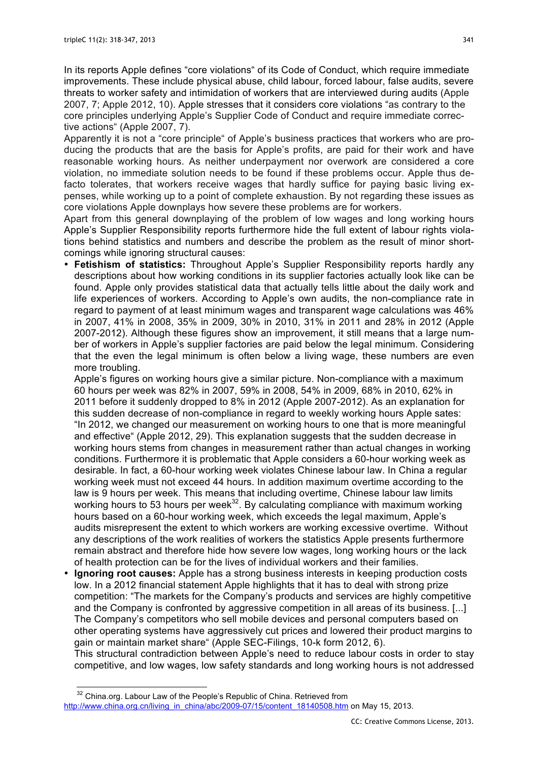In its reports Apple defines "core violations" of its Code of Conduct, which require immediate improvements. These include physical abuse, child labour, forced labour, false audits, severe threats to worker safety and intimidation of workers that are interviewed during audits (Apple 2007, 7; Apple 2012, 10). Apple stresses that it considers core violations "as contrary to the core principles underlying Apple's Supplier Code of Conduct and require immediate corrective actions" (Apple 2007, 7).

Apparently it is not a "core principle" of Apple's business practices that workers who are producing the products that are the basis for Apple's profits, are paid for their work and have reasonable working hours. As neither underpayment nor overwork are considered a core violation, no immediate solution needs to be found if these problems occur. Apple thus defacto tolerates, that workers receive wages that hardly suffice for paying basic living expenses, while working up to a point of complete exhaustion. By not regarding these issues as core violations Apple downplays how severe these problems are for workers.

Apart from this general downplaying of the problem of low wages and long working hours Apple's Supplier Responsibility reports furthermore hide the full extent of labour rights violations behind statistics and numbers and describe the problem as the result of minor shortcomings while ignoring structural causes:

• **Fetishism of statistics:** Throughout Apple's Supplier Responsibility reports hardly any descriptions about how working conditions in its supplier factories actually look like can be found. Apple only provides statistical data that actually tells little about the daily work and life experiences of workers. According to Apple's own audits, the non-compliance rate in regard to payment of at least minimum wages and transparent wage calculations was 46% in 2007, 41% in 2008, 35% in 2009, 30% in 2010, 31% in 2011 and 28% in 2012 (Apple 2007-2012). Although these figures show an improvement, it still means that a large number of workers in Apple's supplier factories are paid below the legal minimum. Considering that the even the legal minimum is often below a living wage, these numbers are even more troubling.

Apple's figures on working hours give a similar picture. Non-compliance with a maximum 60 hours per week was 82% in 2007, 59% in 2008, 54% in 2009, 68% in 2010, 62% in 2011 before it suddenly dropped to 8% in 2012 (Apple 2007-2012). As an explanation for this sudden decrease of non-compliance in regard to weekly working hours Apple sates: "In 2012, we changed our measurement on working hours to one that is more meaningful and effective" (Apple 2012, 29). This explanation suggests that the sudden decrease in working hours stems from changes in measurement rather than actual changes in working conditions. Furthermore it is problematic that Apple considers a 60-hour working week as desirable. In fact, a 60-hour working week violates Chinese labour law. In China a regular working week must not exceed 44 hours. In addition maximum overtime according to the law is 9 hours per week. This means that including overtime, Chinese labour law limits working hours to 53 hours per week<sup>32</sup>. By calculating compliance with maximum working hours based on a 60-hour working week, which exceeds the legal maximum, Apple's audits misrepresent the extent to which workers are working excessive overtime. Without any descriptions of the work realities of workers the statistics Apple presents furthermore remain abstract and therefore hide how severe low wages, long working hours or the lack of health protection can be for the lives of individual workers and their families.

• **Ignoring root causes:** Apple has a strong business interests in keeping production costs low. In a 2012 financial statement Apple highlights that it has to deal with strong prize competition: "The markets for the Company's products and services are highly competitive and the Company is confronted by aggressive competition in all areas of its business. [...] The Company's competitors who sell mobile devices and personal computers based on other operating systems have aggressively cut prices and lowered their product margins to gain or maintain market share" (Apple SEC-Filings, 10-k form 2012, 6).

This structural contradiction between Apple's need to reduce labour costs in order to stay competitive, and low wages, low safety standards and long working hours is not addressed

<sup>&</sup>lt;sup>32</sup> China.org. Labour Law of the People's Republic of China. Retrieved from http://www.china.org.cn/living\_in\_china/abc/2009-07/15/content\_18140508.htm on May 15, 2013.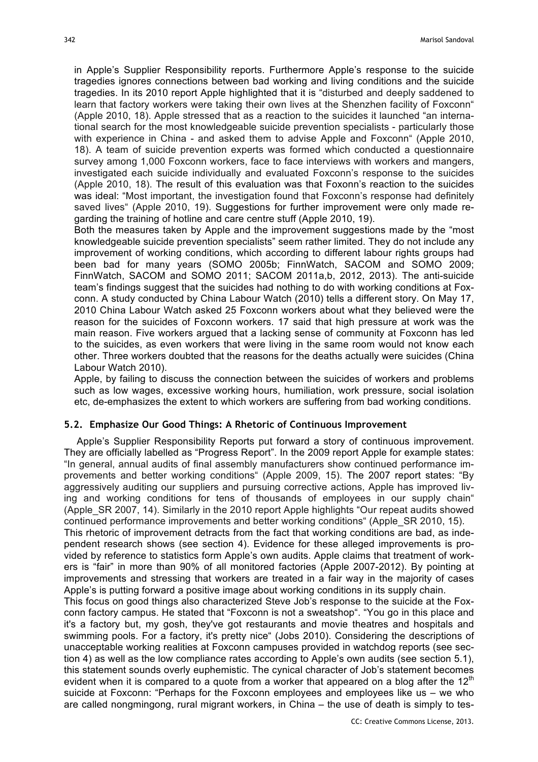in Apple's Supplier Responsibility reports. Furthermore Apple's response to the suicide tragedies ignores connections between bad working and living conditions and the suicide tragedies. In its 2010 report Apple highlighted that it is "disturbed and deeply saddened to learn that factory workers were taking their own lives at the Shenzhen facility of Foxconn" (Apple 2010, 18). Apple stressed that as a reaction to the suicides it launched "an international search for the most knowledgeable suicide prevention specialists - particularly those with experience in China - and asked them to advise Apple and Foxconn" (Apple 2010, 18). A team of suicide prevention experts was formed which conducted a questionnaire survey among 1,000 Foxconn workers, face to face interviews with workers and mangers, investigated each suicide individually and evaluated Foxconn's response to the suicides (Apple 2010, 18). The result of this evaluation was that Foxonn's reaction to the suicides was ideal: "Most important, the investigation found that Foxconn's response had definitely saved lives" (Apple 2010, 19). Suggestions for further improvement were only made regarding the training of hotline and care centre stuff (Apple 2010, 19).

Both the measures taken by Apple and the improvement suggestions made by the "most knowledgeable suicide prevention specialists" seem rather limited. They do not include any improvement of working conditions, which according to different labour rights groups had been bad for many years (SOMO 2005b; FinnWatch, SACOM and SOMO 2009; FinnWatch, SACOM and SOMO 2011; SACOM 2011a,b, 2012, 2013). The anti-suicide team's findings suggest that the suicides had nothing to do with working conditions at Foxconn. A study conducted by China Labour Watch (2010) tells a different story. On May 17, 2010 China Labour Watch asked 25 Foxconn workers about what they believed were the reason for the suicides of Foxconn workers. 17 said that high pressure at work was the main reason. Five workers argued that a lacking sense of community at Foxconn has led to the suicides, as even workers that were living in the same room would not know each other. Three workers doubted that the reasons for the deaths actually were suicides (China Labour Watch 2010).

Apple, by failing to discuss the connection between the suicides of workers and problems such as low wages, excessive working hours, humiliation, work pressure, social isolation etc, de-emphasizes the extent to which workers are suffering from bad working conditions.

### **5.2. Emphasize Our Good Things: A Rhetoric of Continuous Improvement**

Apple's Supplier Responsibility Reports put forward a story of continuous improvement. They are officially labelled as "Progress Report". In the 2009 report Apple for example states: "In general, annual audits of final assembly manufacturers show continued performance improvements and better working conditions" (Apple 2009, 15). The 2007 report states: "By aggressively auditing our suppliers and pursuing corrective actions, Apple has improved living and working conditions for tens of thousands of employees in our supply chain" (Apple\_SR 2007, 14). Similarly in the 2010 report Apple highlights "Our repeat audits showed continued performance improvements and better working conditions" (Apple\_SR 2010, 15).

This rhetoric of improvement detracts from the fact that working conditions are bad, as independent research shows (see section 4). Evidence for these alleged improvements is provided by reference to statistics form Apple's own audits. Apple claims that treatment of workers is "fair" in more than 90% of all monitored factories (Apple 2007-2012). By pointing at improvements and stressing that workers are treated in a fair way in the majority of cases Apple's is putting forward a positive image about working conditions in its supply chain.

This focus on good things also characterized Steve Job's response to the suicide at the Foxconn factory campus. He stated that "Foxconn is not a sweatshop". "You go in this place and it's a factory but, my gosh, they've got restaurants and movie theatres and hospitals and swimming pools. For a factory, it's pretty nice" (Jobs 2010). Considering the descriptions of unacceptable working realities at Foxconn campuses provided in watchdog reports (see section 4) as well as the low compliance rates according to Apple's own audits (see section 5.1), this statement sounds overly euphemistic. The cynical character of Job's statement becomes evident when it is compared to a quote from a worker that appeared on a blog after the  $12<sup>th</sup>$ suicide at Foxconn: "Perhaps for the Foxconn employees and employees like us – we who are called nongmingong, rural migrant workers, in China – the use of death is simply to tes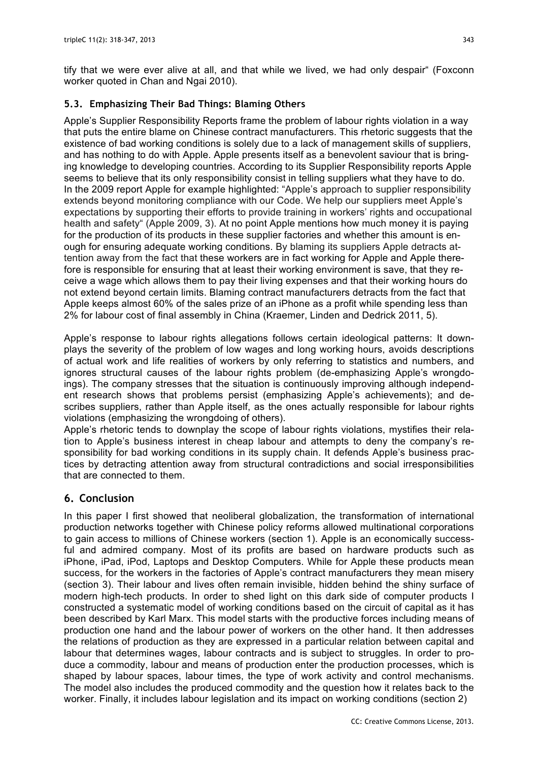tify that we were ever alive at all, and that while we lived, we had only despair" (Foxconn worker quoted in Chan and Ngai 2010).

# **5.3. Emphasizing Their Bad Things: Blaming Others**

Apple's Supplier Responsibility Reports frame the problem of labour rights violation in a way that puts the entire blame on Chinese contract manufacturers. This rhetoric suggests that the existence of bad working conditions is solely due to a lack of management skills of suppliers, and has nothing to do with Apple. Apple presents itself as a benevolent saviour that is bringing knowledge to developing countries. According to its Supplier Responsibility reports Apple seems to believe that its only responsibility consist in telling suppliers what they have to do. In the 2009 report Apple for example highlighted: "Apple's approach to supplier responsibility extends beyond monitoring compliance with our Code. We help our suppliers meet Apple's expectations by supporting their efforts to provide training in workers' rights and occupational health and safety" (Apple 2009, 3). At no point Apple mentions how much money it is paying for the production of its products in these supplier factories and whether this amount is enough for ensuring adequate working conditions. By blaming its suppliers Apple detracts attention away from the fact that these workers are in fact working for Apple and Apple therefore is responsible for ensuring that at least their working environment is save, that they receive a wage which allows them to pay their living expenses and that their working hours do not extend beyond certain limits. Blaming contract manufacturers detracts from the fact that Apple keeps almost 60% of the sales prize of an iPhone as a profit while spending less than 2% for labour cost of final assembly in China (Kraemer, Linden and Dedrick 2011, 5).

Apple's response to labour rights allegations follows certain ideological patterns: It downplays the severity of the problem of low wages and long working hours, avoids descriptions of actual work and life realities of workers by only referring to statistics and numbers, and ignores structural causes of the labour rights problem (de-emphasizing Apple's wrongdoings). The company stresses that the situation is continuously improving although independent research shows that problems persist (emphasizing Apple's achievements); and describes suppliers, rather than Apple itself, as the ones actually responsible for labour rights violations (emphasizing the wrongdoing of others).

Apple's rhetoric tends to downplay the scope of labour rights violations, mystifies their relation to Apple's business interest in cheap labour and attempts to deny the company's responsibility for bad working conditions in its supply chain. It defends Apple's business practices by detracting attention away from structural contradictions and social irresponsibilities that are connected to them.

# **6. Conclusion**

In this paper I first showed that neoliberal globalization, the transformation of international production networks together with Chinese policy reforms allowed multinational corporations to gain access to millions of Chinese workers (section 1). Apple is an economically successful and admired company. Most of its profits are based on hardware products such as iPhone, iPad, iPod, Laptops and Desktop Computers. While for Apple these products mean success, for the workers in the factories of Apple's contract manufacturers they mean misery (section 3). Their labour and lives often remain invisible, hidden behind the shiny surface of modern high-tech products. In order to shed light on this dark side of computer products I constructed a systematic model of working conditions based on the circuit of capital as it has been described by Karl Marx. This model starts with the productive forces including means of production one hand and the labour power of workers on the other hand. It then addresses the relations of production as they are expressed in a particular relation between capital and labour that determines wages, labour contracts and is subject to struggles. In order to produce a commodity, labour and means of production enter the production processes, which is shaped by labour spaces, labour times, the type of work activity and control mechanisms. The model also includes the produced commodity and the question how it relates back to the worker. Finally, it includes labour legislation and its impact on working conditions (section 2)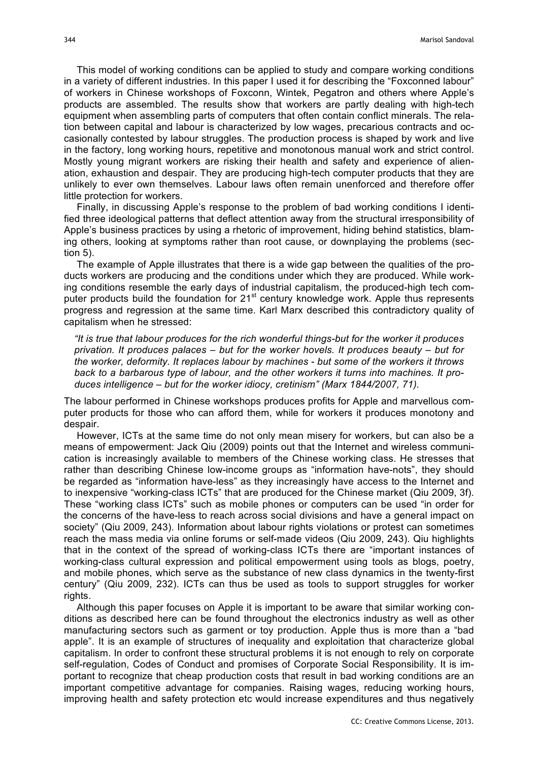This model of working conditions can be applied to study and compare working conditions in a variety of different industries. In this paper I used it for describing the "Foxconned labour" of workers in Chinese workshops of Foxconn, Wintek, Pegatron and others where Apple's products are assembled. The results show that workers are partly dealing with high-tech equipment when assembling parts of computers that often contain conflict minerals. The relation between capital and labour is characterized by low wages, precarious contracts and occasionally contested by labour struggles. The production process is shaped by work and live in the factory, long working hours, repetitive and monotonous manual work and strict control. Mostly young migrant workers are risking their health and safety and experience of alienation, exhaustion and despair. They are producing high-tech computer products that they are unlikely to ever own themselves. Labour laws often remain unenforced and therefore offer little protection for workers.

Finally, in discussing Apple's response to the problem of bad working conditions I identified three ideological patterns that deflect attention away from the structural irresponsibility of Apple's business practices by using a rhetoric of improvement, hiding behind statistics, blaming others, looking at symptoms rather than root cause, or downplaying the problems (section 5).

The example of Apple illustrates that there is a wide gap between the qualities of the products workers are producing and the conditions under which they are produced. While working conditions resemble the early days of industrial capitalism, the produced-high tech computer products build the foundation for 21<sup>st</sup> century knowledge work. Apple thus represents progress and regression at the same time. Karl Marx described this contradictory quality of capitalism when he stressed:

*"It is true that labour produces for the rich wonderful things-but for the worker it produces privation. It produces palaces – but for the worker hovels. It produces beauty – but for the worker, deformity. It replaces labour by machines - but some of the workers it throws back to a barbarous type of labour, and the other workers it turns into machines. It produces intelligence – but for the worker idiocy, cretinism" (Marx 1844/2007, 71).* 

The labour performed in Chinese workshops produces profits for Apple and marvellous computer products for those who can afford them, while for workers it produces monotony and despair.

However, ICTs at the same time do not only mean misery for workers, but can also be a means of empowerment: Jack Qiu (2009) points out that the Internet and wireless communication is increasingly available to members of the Chinese working class. He stresses that rather than describing Chinese low-income groups as "information have-nots", they should be regarded as "information have-less" as they increasingly have access to the Internet and to inexpensive "working-class ICTs" that are produced for the Chinese market (Qiu 2009, 3f). These "working class ICTs" such as mobile phones or computers can be used "in order for the concerns of the have-less to reach across social divisions and have a general impact on society" (Qiu 2009, 243). Information about labour rights violations or protest can sometimes reach the mass media via online forums or self-made videos (Qiu 2009, 243). Qiu highlights that in the context of the spread of working-class ICTs there are "important instances of working-class cultural expression and political empowerment using tools as blogs, poetry, and mobile phones, which serve as the substance of new class dynamics in the twenty-first century" (Qiu 2009, 232). ICTs can thus be used as tools to support struggles for worker rights.

Although this paper focuses on Apple it is important to be aware that similar working conditions as described here can be found throughout the electronics industry as well as other manufacturing sectors such as garment or toy production. Apple thus is more than a "bad apple". It is an example of structures of inequality and exploitation that characterize global capitalism. In order to confront these structural problems it is not enough to rely on corporate self-regulation, Codes of Conduct and promises of Corporate Social Responsibility. It is important to recognize that cheap production costs that result in bad working conditions are an important competitive advantage for companies. Raising wages, reducing working hours, improving health and safety protection etc would increase expenditures and thus negatively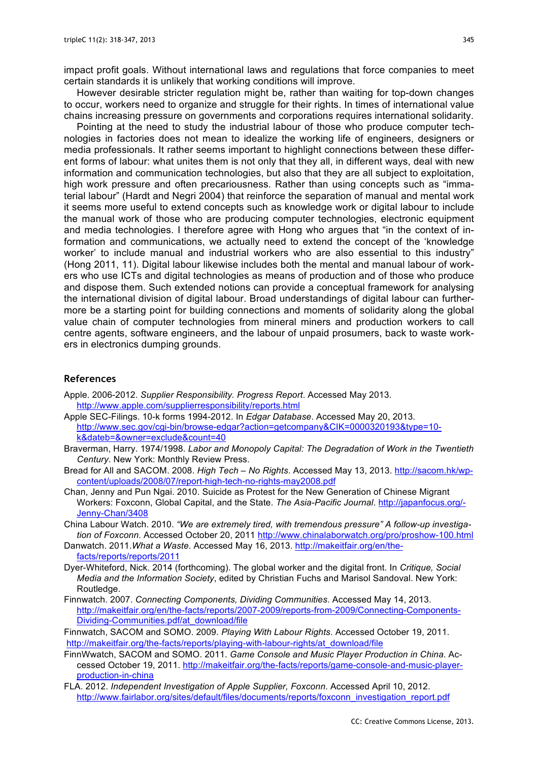impact profit goals. Without international laws and regulations that force companies to meet certain standards it is unlikely that working conditions will improve.

However desirable stricter regulation might be, rather than waiting for top-down changes to occur, workers need to organize and struggle for their rights. In times of international value chains increasing pressure on governments and corporations requires international solidarity.

Pointing at the need to study the industrial labour of those who produce computer technologies in factories does not mean to idealize the working life of engineers, designers or media professionals. It rather seems important to highlight connections between these different forms of labour: what unites them is not only that they all, in different ways, deal with new information and communication technologies, but also that they are all subject to exploitation, high work pressure and often precariousness. Rather than using concepts such as "immaterial labour" (Hardt and Negri 2004) that reinforce the separation of manual and mental work it seems more useful to extend concepts such as knowledge work or digital labour to include the manual work of those who are producing computer technologies, electronic equipment and media technologies. I therefore agree with Hong who argues that "in the context of information and communications, we actually need to extend the concept of the 'knowledge worker' to include manual and industrial workers who are also essential to this industry" (Hong 2011, 11). Digital labour likewise includes both the mental and manual labour of workers who use ICTs and digital technologies as means of production and of those who produce and dispose them. Such extended notions can provide a conceptual framework for analysing the international division of digital labour. Broad understandings of digital labour can furthermore be a starting point for building connections and moments of solidarity along the global value chain of computer technologies from mineral miners and production workers to call centre agents, software engineers, and the labour of unpaid prosumers, back to waste workers in electronics dumping grounds.

#### **References**

- Apple. 2006-2012. *Supplier Responsibility. Progress Report*. Accessed May 2013. http://www.apple.com/supplierresponsibility/reports.html
- Apple SEC-Filings. 10-k forms 1994-2012. In *Edgar Database*. Accessed May 20, 2013. http://www.sec.gov/cgi-bin/browse-edgar?action=getcompany&CIK=0000320193&type=10 k&dateb=&owner=exclude&count=40
- Braverman, Harry. 1974/1998. *Labor and Monopoly Capital: The Degradation of Work in the Twentieth Century*. New York: Monthly Review Press.
- Bread for All and SACOM. 2008. *High Tech No Rights*. Accessed May 13, 2013. http://sacom.hk/wpcontent/uploads/2008/07/report-high-tech-no-rights-may2008.pdf
- Chan, Jenny and Pun Ngai. 2010. Suicide as Protest for the New Generation of Chinese Migrant Workers: Foxconn, Global Capital, and the State. *The Asia-Pacific Journal*. http://japanfocus.org/- Jenny-Chan/3408
- China Labour Watch. 2010. *"We are extremely tired, with tremendous pressure" A follow-up investigation of Foxconn*. Accessed October 20, 2011 http://www.chinalaborwatch.org/pro/proshow-100.html
- Danwatch. 2011.*What a Waste*. Accessed May 16, 2013. http://makeitfair.org/en/thefacts/reports/reports/2011
- Dyer-Whiteford, Nick. 2014 (forthcoming). The global worker and the digital front. In *Critique, Social Media and the Information Society*, edited by Christian Fuchs and Marisol Sandoval. New York: Routledge.
- Finnwatch. 2007. *Connecting Components, Dividing Communities*. Accessed May 14, 2013. http://makeitfair.org/en/the-facts/reports/2007-2009/reports-from-2009/Connecting-Components-Dividing-Communities.pdf/at\_download/file
- Finnwatch, SACOM and SOMO. 2009. *Playing With Labour Rights*. Accessed October 19, 2011. http://makeitfair.org/the-facts/reports/playing-with-labour-rights/at\_download/file
- FinnWwatch, SACOM and SOMO. 2011. *Game Console and Music Player Production in China*. Accessed October 19, 2011. http://makeitfair.org/the-facts/reports/game-console-and-music-playerproduction-in-china
- FLA. 2012. *Independent Investigation of Apple Supplier, Foxconn*. Accessed April 10, 2012. http://www.fairlabor.org/sites/default/files/documents/reports/foxconn\_investigation\_report.pdf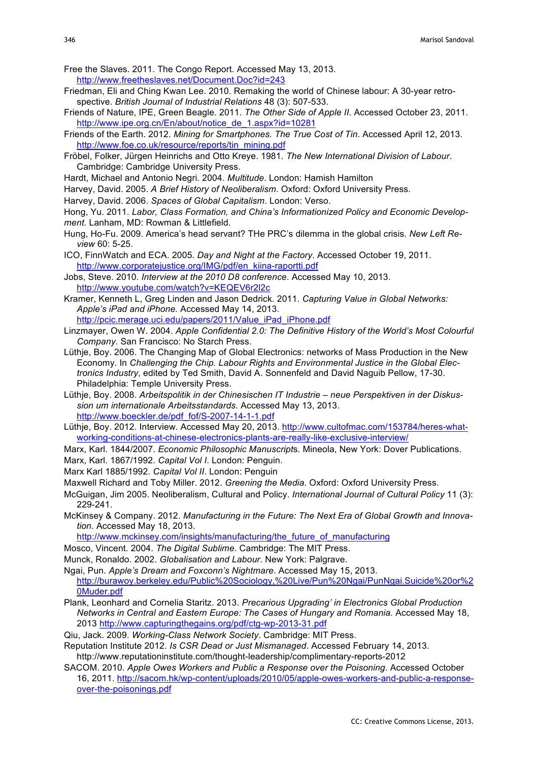Free the Slaves. 2011. The Congo Report. Accessed May 13, 2013.

http://www.freetheslaves.net/Document.Doc?id=243

- Friedman, Eli and Ching Kwan Lee. 2010. Remaking the world of Chinese labour: A 30-year retrospective. *British Journal of Industrial Relations* 48 (3): 507-533.
- Friends of Nature, IPE, Green Beagle. 2011. *The Other Side of Apple II*. Accessed October 23, 2011. http://www.ipe.org.cn/En/about/notice\_de\_1.aspx?id=10281
- Friends of the Earth. 2012. *Mining for Smartphones. The True Cost of Tin*. Accessed April 12, 2013. http://www.foe.co.uk/resource/reports/tin\_mining.pdf
- Fröbel, Folker, Jürgen Heinrichs and Otto Kreye. 1981. *The New International Division of Labour*. Cambridge: Cambridge University Press.
- Hardt, Michael and Antonio Negri. 2004. *Multitude*. London: Hamish Hamilton
- Harvey, David. 2005. *A Brief History of Neoliberalism*. Oxford: Oxford University Press.
- Harvey, David. 2006. *Spaces of Global Capitalism*. London: Verso.

Hong, Yu. 2011. *Labor, Class Formation, and China's Informationized Policy and Economic Development.* Lanham, MD: Rowman & Littlefield.

- Hung, Ho-Fu. 2009. America's head servant? THe PRC's dilemma in the global crisis. *New Left Review* 60: 5-25.
- ICO, FinnWatch and ECA. 2005. *Day and Night at the Factory*. Accessed October 19, 2011. http://www.corporatejustice.org/IMG/pdf/en\_kiina-raportti.pdf
- Jobs, Steve. 2010. *Interview at the 2010 D8 conference*. Accessed May 10, 2013. http://www.youtube.com/watch?v=KEQEV6r2l2c

Kramer, Kenneth L, Greg Linden and Jason Dedrick. 2011. *Capturing Value in Global Networks: Apple's iPad and iPhone.* Accessed May 14, 2013.

- http://pcic.merage.uci.edu/papers/2011/Value\_iPad\_iPhone.pdf
- Linzmayer, Owen W. 2004. *Apple Confidential 2.0: The Definitive History of the World's Most Colourful Company*. San Francisco: No Starch Press.
- Lüthje, Boy. 2006. The Changing Map of Global Electronics: networks of Mass Production in the New Economy. In *Challenging the Chip. Labour Rights and Environmental Justice in the Global Electronics Industry*, edited by Ted Smith, David A. Sonnenfeld and David Naguib Pellow, 17-30. Philadelphia: Temple University Press.
- Lüthje, Boy. 2008. *Arbeitspolitik in der Chinesischen IT Industrie neue Perspektiven in der Diskussion um internationale Arbeitsstandards*. Accessed May 13, 2013. http://www.boeckler.de/pdf\_fof/S-2007-14-1-1.pdf

Lüthje, Boy. 2012. Interview. Accessed May 20, 2013. http://www.cultofmac.com/153784/heres-whatworking-conditions-at-chinese-electronics-plants-are-really-like-exclusive-interview/

- Marx, Karl. 1844/2007. *Economic Philosophic Manuscript*s. Mineola, New York: Dover Publications.
- Marx, Karl. 1867/1992. *Capital Vol I*. London: Penguin.
- Marx Karl 1885/1992. *Capital Vol II*. London: Penguin

Maxwell Richard and Toby Miller. 2012. *Greening the Media*. Oxford: Oxford University Press.

McGuigan, Jim 2005. Neoliberalism, Cultural and Policy. *International Journal of Cultural Policy* 11 (3): 229-241.

McKinsey & Company. 2012. *Manufacturing in the Future: The Next Era of Global Growth and Innovation*. Accessed May 18, 2013.

http://www.mckinsey.com/insights/manufacturing/the\_future\_of\_manufacturing

Mosco, Vincent. 2004. *The Digital Sublime*. Cambridge: The MIT Press.

Munck, Ronaldo. 2002. *Globalisation and Labour*. New York: Palgrave.

Ngai, Pun. *Apple's Dream and Foxconn's Nightmare*. Accessed May 15, 2013. http://burawoy.berkeley.edu/Public%20Sociology,%20Live/Pun%20Ngai/PunNgai.Suicide%20or%2 0Muder.pdf

- Plank, Leonhard and Cornelia Staritz. 2013. *Precarious Upgrading' in Electronics Global Production Networks in Central and Eastern Europe: The Cases of Hungary and Romania.* Accessed May 18, 2013 http://www.capturingthegains.org/pdf/ctg-wp-2013-31.pdf
- Qiu, Jack. 2009. *Working-Class Network Society*. Cambridge: MIT Press.

Reputation Institute 2012. *Is CSR Dead or Just Mismanaged*. Accessed February 14, 2013. http://www.reputationinstitute.com/thought-leadership/complimentary-reports-2012

SACOM. 2010. *Apple Owes Workers and Public a Response over the Poisoning*. Accessed October 16, 2011. http://sacom.hk/wp-content/uploads/2010/05/apple-owes-workers-and-public-a-responseover-the-poisonings.pdf